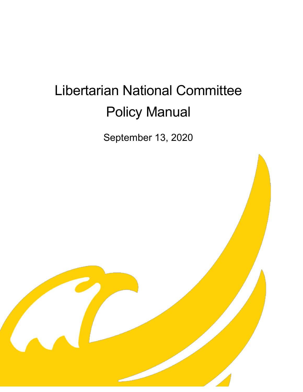# Libertarian National Committee Policy Manual

September 13, 2020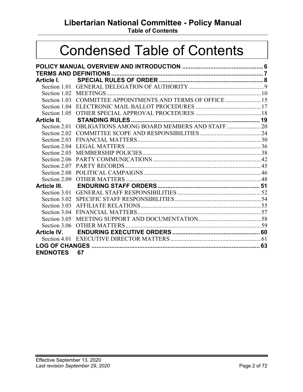# **Libertarian National Committee - Policy Manual**

**Table of Contents**

# Condensed Table of Contents

| Article I.      |                                                             |  |  |  |
|-----------------|-------------------------------------------------------------|--|--|--|
|                 |                                                             |  |  |  |
|                 |                                                             |  |  |  |
|                 | Section 1.03 COMMITTEE APPOINTMENTS AND TERMS OF OFFICE  15 |  |  |  |
|                 |                                                             |  |  |  |
|                 |                                                             |  |  |  |
| Article II.     |                                                             |  |  |  |
|                 | Section 2.01 OBLIGATIONS AMONG BOARD MEMBERS AND STAFF20    |  |  |  |
|                 |                                                             |  |  |  |
|                 |                                                             |  |  |  |
| Section 2.04    |                                                             |  |  |  |
| Section 2.05    |                                                             |  |  |  |
| Section 2.06    |                                                             |  |  |  |
| Section 2.07    |                                                             |  |  |  |
| Section 2.08    |                                                             |  |  |  |
|                 |                                                             |  |  |  |
| Article III.    |                                                             |  |  |  |
|                 |                                                             |  |  |  |
|                 |                                                             |  |  |  |
| Section 3.03    |                                                             |  |  |  |
| Section 3.04    |                                                             |  |  |  |
| Section 3.05    |                                                             |  |  |  |
|                 |                                                             |  |  |  |
|                 |                                                             |  |  |  |
|                 |                                                             |  |  |  |
|                 |                                                             |  |  |  |
| <b>ENDNOTES</b> | 67                                                          |  |  |  |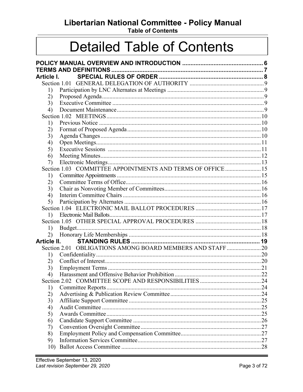# Libertarian National Committee - Policy Manual

**Table of Contents** 

# **Detailed Table of Contents**

| Article I.  |                                                             |  |
|-------------|-------------------------------------------------------------|--|
|             |                                                             |  |
| 1)          |                                                             |  |
| 2)          |                                                             |  |
| 3)          |                                                             |  |
| 4)          |                                                             |  |
|             |                                                             |  |
| 1)          |                                                             |  |
| 2)          |                                                             |  |
| 3)          |                                                             |  |
| 4)          |                                                             |  |
| 5)          |                                                             |  |
| 6)          |                                                             |  |
| 7)          |                                                             |  |
|             | Section 1.03 COMMITTEE APPOINTMENTS AND TERMS OF OFFICE  15 |  |
| 1)          |                                                             |  |
| 2)          |                                                             |  |
| 3)          |                                                             |  |
| 4)          |                                                             |  |
| 5)          |                                                             |  |
|             |                                                             |  |
| 1)          |                                                             |  |
|             |                                                             |  |
| 1)          |                                                             |  |
| 2)          |                                                             |  |
| Article II. |                                                             |  |
|             | Section 2.01 OBLIGATIONS AMONG BOARD MEMBERS AND STAFF20    |  |
| 1)          |                                                             |  |
| 2)          |                                                             |  |
| 3)          |                                                             |  |
| 4)          |                                                             |  |
|             |                                                             |  |
| 1)          |                                                             |  |
| 2)          |                                                             |  |
| 3)          |                                                             |  |
| 4)          |                                                             |  |
| 5)          |                                                             |  |
| 6)          |                                                             |  |
| 7)          |                                                             |  |
| 8)          |                                                             |  |
| 9)          |                                                             |  |
| 10)         |                                                             |  |
|             |                                                             |  |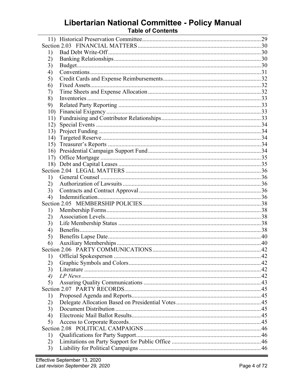# Libertarian National Committee - Policy Manual<br>Table of Contents

| 1)                  |  |  |  |  |
|---------------------|--|--|--|--|
| 2)                  |  |  |  |  |
| 3)                  |  |  |  |  |
| 4)                  |  |  |  |  |
| 5)                  |  |  |  |  |
| 6)                  |  |  |  |  |
| 7)                  |  |  |  |  |
| 8)                  |  |  |  |  |
| 9)                  |  |  |  |  |
| 10)                 |  |  |  |  |
| 11)                 |  |  |  |  |
| 12)                 |  |  |  |  |
| 13)                 |  |  |  |  |
|                     |  |  |  |  |
| 14)                 |  |  |  |  |
| 15)                 |  |  |  |  |
| 16)                 |  |  |  |  |
| 17)                 |  |  |  |  |
|                     |  |  |  |  |
|                     |  |  |  |  |
| 1)                  |  |  |  |  |
| 2)                  |  |  |  |  |
| 3)                  |  |  |  |  |
| 4)                  |  |  |  |  |
|                     |  |  |  |  |
| 1)                  |  |  |  |  |
| 2)                  |  |  |  |  |
| 3)                  |  |  |  |  |
| 4)                  |  |  |  |  |
| 5)                  |  |  |  |  |
| 6)                  |  |  |  |  |
|                     |  |  |  |  |
| 1)                  |  |  |  |  |
| 2)                  |  |  |  |  |
| 3)                  |  |  |  |  |
| $\boldsymbol{\psi}$ |  |  |  |  |
| 5)                  |  |  |  |  |
|                     |  |  |  |  |
| 1)                  |  |  |  |  |
| 2)                  |  |  |  |  |
| 3)                  |  |  |  |  |
| 4)                  |  |  |  |  |
| 5)                  |  |  |  |  |
|                     |  |  |  |  |
| 1)                  |  |  |  |  |
| 2)                  |  |  |  |  |
|                     |  |  |  |  |
| 3)                  |  |  |  |  |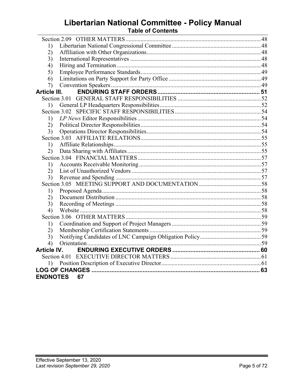# Libertarian National Committee - Policy Manual<br>Table of Contents

| 1)                 |    |  |
|--------------------|----|--|
| 2)                 |    |  |
| 3)                 |    |  |
| 4)                 |    |  |
| 5)                 |    |  |
| 6)                 |    |  |
| 7)                 |    |  |
| Article III.       |    |  |
|                    |    |  |
| 1)                 |    |  |
|                    |    |  |
| 1)                 |    |  |
| 2)                 |    |  |
| 3)                 |    |  |
|                    |    |  |
| 1)                 |    |  |
| 2)                 |    |  |
|                    |    |  |
| 1)                 |    |  |
| 2)                 |    |  |
| 3)                 |    |  |
|                    |    |  |
| 1)                 |    |  |
| 2)                 |    |  |
| 3)                 |    |  |
| 4)                 |    |  |
|                    |    |  |
| 1)                 |    |  |
| 2)                 |    |  |
| 3)                 |    |  |
| 4)                 |    |  |
| <b>Article IV.</b> |    |  |
|                    |    |  |
| 1)                 |    |  |
|                    |    |  |
| <b>ENDNOTES</b>    | 67 |  |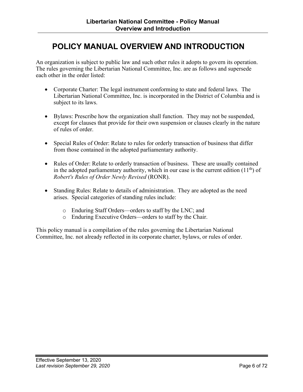# <span id="page-5-0"></span>**POLICY MANUAL OVERVIEW AND INTRODUCTION**

An organization is subject to public law and such other rules it adopts to govern its operation. The rules governing the Libertarian National Committee, Inc. are as follows and supersede each other in the order listed:

- Corporate Charter: The legal instrument conforming to state and federal laws. The Libertarian National Committee, Inc. is incorporated in the District of Columbia and is subject to its laws.
- Bylaws: Prescribe how the organization shall function. They may not be suspended, except for clauses that provide for their own suspension or clauses clearly in the nature of rules of order.
- Special Rules of Order: Relate to rules for orderly transaction of business that differ from those contained in the adopted parliamentary authority.
- Rules of Order: Relate to orderly transaction of business. These are usually contained in the adopted parliamentary authority, which in our case is the current edition  $(11<sup>th</sup>)$  of *Robert's Rules of Order Newly Revised* (RONR).
- Standing Rules: Relate to details of administration. They are adopted as the need arises. Special categories of standing rules include:
	- o Enduring Staff Orders—orders to staff by the LNC; and
	- o Enduring Executive Orders—orders to staff by the Chair.

This policy manual is a compilation of the rules governing the Libertarian National Committee, Inc. not already reflected in its corporate charter, bylaws, or rules of order.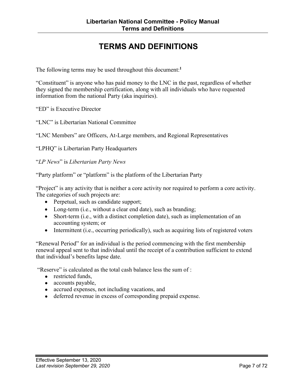# **TERMS AND DEFINITIONS**

<span id="page-6-0"></span>The following terms may be used throughout this document: **1**

"Constituent" is anyone who has paid money to the LNC in the past, regardless of whether they signed the membership certification, along with all individuals who have requested information from the national Party (aka inquiries).

"ED" is Executive Director

"LNC" is Libertarian National Committee

"LNC Members" are Officers, At-Large members, and Regional Representatives

"LPHQ" is Libertarian Party Headquarters

"*LP News*" is *Libertarian Party News*

"Party platform" or "platform" is the platform of the Libertarian Party

"Project" is any activity that is neither a core activity nor required to perform a core activity. The categories of such projects are:

- Perpetual, such as candidate support;
- Long-term (i.e., without a clear end date), such as branding;
- Short-term (i.e., with a distinct completion date), such as implementation of an accounting system; or
- Intermittent (i.e., occurring periodically), such as acquiring lists of registered voters

"Renewal Period" for an individual is the period commencing with the first membership renewal appeal sent to that individual until the receipt of a contribution sufficient to extend that individual's benefits lapse date.

"Reserve" is calculated as the total cash balance less the sum of :

- **●** restricted funds,
- **●** accounts payable,
- **●** accrued expenses, not including vacations, and
- **●** deferred revenue in excess of corresponding prepaid expense.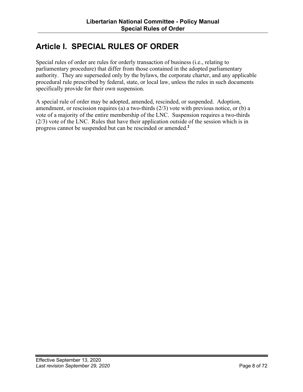# <span id="page-7-0"></span>**Article I. SPECIAL RULES OF ORDER**

Special rules of order are rules for orderly transaction of business (i.e., relating to parliamentary procedure) that differ from those contained in the adopted parliamentary authority. They are superseded only by the bylaws, the corporate charter, and any applicable procedural rule prescribed by federal, state, or local law, unless the rules in such documents specifically provide for their own suspension.

A special rule of order may be adopted, amended, rescinded, or suspended. Adoption, amendment, or rescission requires (a) a two-thirds (2/3) vote with previous notice, or (b) a vote of a majority of the entire membership of the LNC. Suspension requires a two-thirds (2/3) vote of the LNC. Rules that have their application outside of the session which is in progress cannot be suspended but can be rescinded or amended. **2**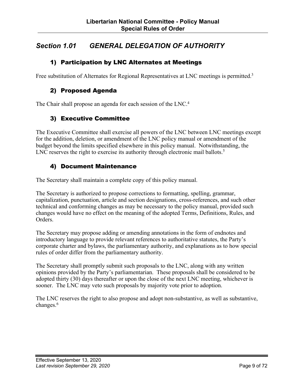# <span id="page-8-0"></span>*Section 1.01 GENERAL DELEGATION OF AUTHORITY*

# 1) Participation by LNC Alternates at Meetings

Free substitution of Alternates for Regional Representatives at LNC meetings is permitted.<sup>3</sup>

### 2) Proposed Agenda

The Chair shall propose an agenda for each session of the LNC.<sup>4</sup>

# 3) Executive Committee

The Executive Committee shall exercise all powers of the LNC between LNC meetings except for the addition, deletion, or amendment of the LNC policy manual or amendment of the budget beyond the limits specified elsewhere in this policy manual. Notwithstanding, the LNC reserves the right to exercise its authority through electronic mail ballots.<sup>5</sup>

### 4) Document Maintenance

The Secretary shall maintain a complete copy of this policy manual.

The Secretary is authorized to propose corrections to formatting, spelling, grammar, capitalization, punctuation, article and section designations, cross-references, and such other technical and conforming changes as may be necessary to the policy manual, provided such changes would have no effect on the meaning of the adopted Terms, Definitions, Rules, and Orders.

The Secretary may propose adding or amending annotations in the form of endnotes and introductory language to provide relevant references to authoritative statutes, the Party's corporate charter and bylaws, the parliamentary authority, and explanations as to how special rules of order differ from the parliamentary authority.

The Secretary shall promptly submit such proposals to the LNC, along with any written opinions provided by the Party's parliamentarian. These proposals shall be considered to be adopted thirty (30) days thereafter or upon the close of the next LNC meeting, whichever is sooner. The LNC may veto such proposals by majority vote prior to adoption.

The LNC reserves the right to also propose and adopt non-substantive, as well as substantive, changes.<sup>6</sup>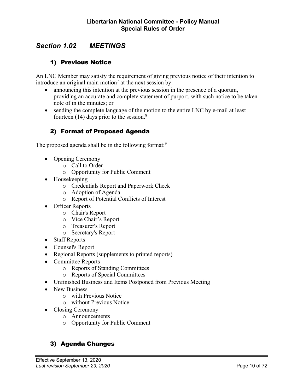# <span id="page-9-0"></span>*Section 1.02 MEETINGS*

# 1) Previous Notice

An LNC Member may satisfy the requirement of giving previous notice of their intention to introduce an original main motion<sup>7</sup> at the next session by:

- announcing this intention at the previous session in the presence of a quorum, providing an accurate and complete statement of purport, with such notice to be taken note of in the minutes; or
- sending the complete language of the motion to the entire LNC by e-mail at least fourteen  $(14)$  days prior to the session.<sup>8</sup>

# 2) Format of Proposed Agenda

The proposed agenda shall be in the following format:<sup>9</sup>

- Opening Ceremony
	- o Call to Order
	- o Opportunity for Public Comment
- Housekeeping
	- o Credentials Report and Paperwork Check
	- o Adoption of Agenda
	- o Report of Potential Conflicts of Interest
- Officer Reports
	- o Chair's Report
	- o Vice Chair's Report
	- o Treasurer's Report
	- o Secretary's Report
- Staff Reports
- Counsel's Report
- Regional Reports (supplements to printed reports)
- Committee Reports
	- o Reports of Standing Committees
	- o Reports of Special Committees
- Unfinished Business and Items Postponed from Previous Meeting
- New Business
	- o with Previous Notice
	- o without Previous Notice
- Closing Ceremony
	- o Announcements
	- o Opportunity for Public Comment

### 3) Agenda Changes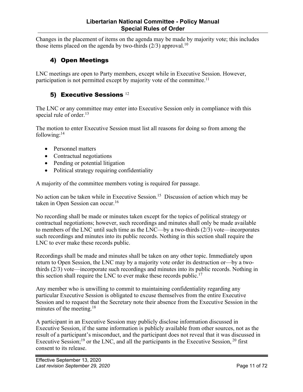<span id="page-10-0"></span>Changes in the placement of items on the agenda may be made by majority vote; this includes those items placed on the agenda by two-thirds  $(2/3)$  approval.<sup>10</sup>

# 4) Open Meetings

LNC meetings are open to Party members, except while in Executive Session. However, participation is not permitted except by majority vote of the committee.<sup>11</sup>

# 5) Executive Sessions 12

The LNC or any committee may enter into Executive Session only in compliance with this special rule of order.<sup>13</sup>

The motion to enter Executive Session must list all reasons for doing so from among the following: $14$ 

- Personnel matters
- Contractual negotiations
- Pending or potential litigation
- Political strategy requiring confidentiality

A majority of the committee members voting is required for passage.

No action can be taken while in Executive Session.<sup>15</sup> Discussion of action which may be taken in Open Session can occur.<sup>16</sup>

No recording shall be made or minutes taken except for the topics of political strategy or contractual negotiations; however, such recordings and minutes shall only be made available to members of the LNC until such time as the LNC—by a two-thirds (2/3) vote—incorporates such recordings and minutes into its public records. Nothing in this section shall require the LNC to ever make these records public.

Recordings shall be made and minutes shall be taken on any other topic. Immediately upon return to Open Session, the LNC may by a majority vote order its destruction or—by a twothirds (2/3) vote—incorporate such recordings and minutes into its public records. Nothing in this section shall require the LNC to ever make these records public.<sup>17</sup>

Any member who is unwilling to commit to maintaining confidentiality regarding any particular Executive Session is obligated to excuse themselves from the entire Executive Session and to request that the Secretary note their absence from the Executive Session in the minutes of the meeting.<sup>18</sup>

A participant in an Executive Session may publicly disclose information discussed in Executive Session, if the same information is publicly available from other sources, not as the result of a participant's misconduct, and the participant does not reveal that it was discussed in Executive Session;<sup>19</sup> or the LNC, and all the participants in the Executive Session,  $20$  first consent to its release.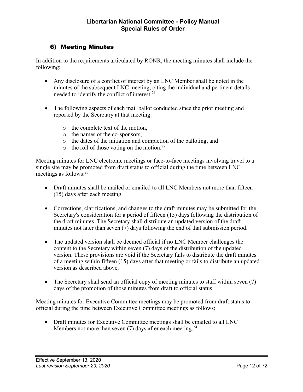# <span id="page-11-0"></span>6) Meeting Minutes

In addition to the requirements articulated by RONR, the meeting minutes shall include the following:

- Any disclosure of a conflict of interest by an LNC Member shall be noted in the minutes of the subsequent LNC meeting, citing the individual and pertinent details needed to identify the conflict of interest.<sup>21</sup>
- The following aspects of each mail ballot conducted since the prior meeting and reported by the Secretary at that meeting:
	- o the complete text of the motion,
	- o the names of the co-sponsors,
	- o the dates of the initiation and completion of the balloting, and
	- $\circ$  the roll of those voting on the motion.<sup>22</sup>

Meeting minutes for LNC electronic meetings or face-to-face meetings involving travel to a single site may be promoted from draft status to official during the time between LNC meetings as follows:<sup>23</sup>

- Draft minutes shall be mailed or emailed to all LNC Members not more than fifteen (15) days after each meeting.
- Corrections, clarifications, and changes to the draft minutes may be submitted for the Secretary's consideration for a period of fifteen (15) days following the distribution of the draft minutes. The Secretary shall distribute an updated version of the draft minutes not later than seven (7) days following the end of that submission period.
- The updated version shall be deemed official if no LNC Member challenges the content to the Secretary within seven (7) days of the distribution of the updated version. These provisions are void if the Secretary fails to distribute the draft minutes of a meeting within fifteen (15) days after that meeting or fails to distribute an updated version as described above.
- The Secretary shall send an official copy of meeting minutes to staff within seven (7) days of the promotion of those minutes from draft to official status.

Meeting minutes for Executive Committee meetings may be promoted from draft status to official during the time between Executive Committee meetings as follows:

• Draft minutes for Executive Committee meetings shall be emailed to all LNC Members not more than seven  $(7)$  days after each meeting.<sup>24</sup>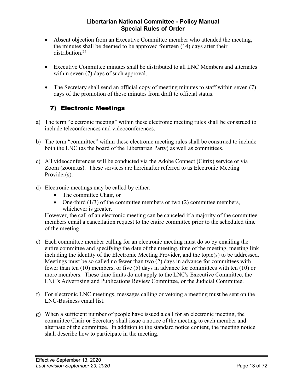- <span id="page-12-0"></span>• Absent objection from an Executive Committee member who attended the meeting, the minutes shall be deemed to be approved fourteen (14) days after their distribution<sup>25</sup>
- Executive Committee minutes shall be distributed to all LNC Members and alternates within seven (7) days of such approval.
- The Secretary shall send an official copy of meeting minutes to staff within seven (7) days of the promotion of those minutes from draft to official status.

# 7) Electronic Meetings

- a) The term "electronic meeting" within these electronic meeting rules shall be construed to include teleconferences and videoconferences.
- b) The term "committee" within these electronic meeting rules shall be construed to include both the LNC (as the board of the Libertarian Party) as well as committees.
- c) All videoconferences will be conducted via the Adobe Connect (Citrix) service or via Zoom (zoom.us). These services are hereinafter referred to as Electronic Meeting Provider(s).
- d) Electronic meetings may be called by either:
	- The committee Chair, or
	- One-third  $(1/3)$  of the committee members or two  $(2)$  committee members, whichever is greater.

However, the call of an electronic meeting can be canceled if a majority of the committee members email a cancellation request to the entire committee prior to the scheduled time of the meeting.

- e) Each committee member calling for an electronic meeting must do so by emailing the entire committee and specifying the date of the meeting, time of the meeting, meeting link including the identity of the Electronic Meeting Provider, and the topic(s) to be addressed. Meetings must be so called no fewer than two  $(2)$  days in advance for committees with fewer than ten (10) members, or five (5) days in advance for committees with ten (10) or more members. These time limits do not apply to the LNC's Executive Committee, the LNC's Advertising and Publications Review Committee, or the Judicial Committee.
- f) For electronic LNC meetings, messages calling or vetoing a meeting must be sent on the LNC-Business email list.
- g) When a sufficient number of people have issued a call for an electronic meeting, the committee Chair or Secretary shall issue a notice of the meeting to each member and alternate of the committee. In addition to the standard notice content, the meeting notice shall describe how to participate in the meeting.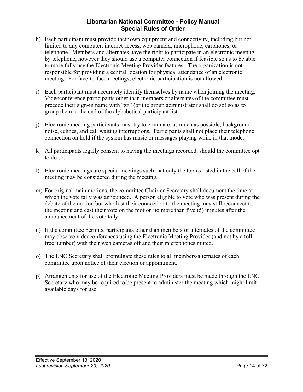### **Libertarian National Committee - Policy Manual Special Rules of Order**

- h) Each participant must provide their own equipment and connectivity, including but not limited to any computer, internet access, web camera, microphone, earphones, or telephone. Members and alternates have the right to participate in an electronic meeting by telephone, however they should use a computer connection if feasible so as to be able to more fully use the Electronic Meeting Provider features. The organization is not responsible for providing a central location for physical attendance of an electronic meeting. For face-to-face meetings, electronic participation is not allowed.
- i) Each participant must accurately identify themselves by name when joining the meeting. Videoconference participants other than members or alternates of the committee must precede their sign-in name with "zz" (or the group administrator shall do so) so as to group them at the end of the alphabetical participant list.
- j) Electronic meeting participants must try to eliminate, as much as possible, background noise, echoes, and call waiting interruptions. Participants shall not place their telephone connection on hold if the system has music or messages playing while in that mode.
- k) All participants legally consent to having the meetings recorded, should the committee opt to do so.
- l) Electronic meetings are special meetings such that only the topics listed in the call of the meeting may be considered during the meeting.
- m) For original main motions, the committee Chair or Secretary shall document the time at which the vote tally was announced. A person eligible to vote who was present during the debate of the motion but who lost their connection to the meeting may still reconnect to the meeting and cast their vote on the motion no more than five (5) minutes after the announcement of the vote tally.
- n) If the committee permits, participants other than members or alternates of the committee may observe videoconferences using the Electronic Meeting Provider (and not by a tollfree number) with their web cameras off and their microphones muted.
- o) The LNC Secretary shall promulgate these rules to all members/alternates of each committee upon notice of their election or appointment.
- p) Arrangements for use of the Electronic Meeting Providers must be made through the LNC Secretary who may be required to be present to administer the meeting which might limit available days for use.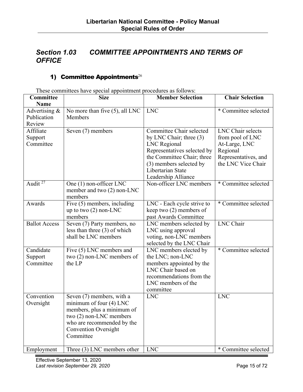# <span id="page-14-0"></span>*Section 1.03 COMMITTEE APPOINTMENTS AND TERMS OF OFFICE*

# 1) Committee Appointments<sup>26</sup>

These committees have special appointment procedures as follows:

| Committee                    | <b>Size</b>                                               | <b>Member Selection</b>                        | <b>Chair Selection</b> |  |
|------------------------------|-----------------------------------------------------------|------------------------------------------------|------------------------|--|
| <b>Name</b>                  |                                                           |                                                |                        |  |
| Advertising &<br>Publication | No more than five (5), all LNC<br>Members                 | <b>LNC</b>                                     | * Committee selected   |  |
| Review                       |                                                           |                                                |                        |  |
| Affiliate                    | Seven (7) members                                         | Committee Chair selected                       | LNC Chair selects      |  |
| Support                      |                                                           | by LNC Chair; three (3)                        | from pool of LNC       |  |
| Committee                    |                                                           | <b>LNC</b> Regional                            | At-Large, LNC          |  |
|                              |                                                           | Representatives selected by                    | Regional               |  |
|                              |                                                           | the Committee Chair; three                     | Representatives, and   |  |
|                              |                                                           | (3) members selected by                        | the LNC Vice Chair     |  |
|                              |                                                           | Libertarian State                              |                        |  |
|                              |                                                           | Leadership Alliance                            |                        |  |
| Audit <sup>27</sup>          | One (1) non-officer LNC                                   | Non-officer LNC members                        | * Committee selected   |  |
|                              | member and two $(2)$ non-LNC<br>members                   |                                                |                        |  |
| Awards                       | Five (5) members, including                               | LNC - Each cycle strive to                     | * Committee selected   |  |
|                              | up to two $(2)$ non-LNC                                   | keep two $(2)$ members of                      |                        |  |
|                              | members                                                   | past Awards Committee                          |                        |  |
| <b>Ballot Access</b>         | Seven (7) Party members, no                               | LNC members selected by                        | <b>LNC</b> Chair       |  |
|                              | less than three $(3)$ of which                            | LNC using approval                             |                        |  |
|                              | shall be LNC members                                      | voting, non-LNC members                        |                        |  |
|                              |                                                           | selected by the LNC Chair                      |                        |  |
| Candidate                    | Five (5) LNC members and                                  | LNC members elected by                         | * Committee selected   |  |
| Support<br>Committee         | two $(2)$ non-LNC members of<br>the LP                    | the LNC; non-LNC                               |                        |  |
|                              |                                                           | members appointed by the<br>LNC Chair based on |                        |  |
|                              |                                                           | recommendations from the                       |                        |  |
|                              |                                                           | LNC members of the                             |                        |  |
|                              |                                                           | committee                                      |                        |  |
| Convention                   | Seven (7) members, with a                                 | <b>LNC</b>                                     | <b>LNC</b>             |  |
| Oversight                    | minimum of four (4) LNC                                   |                                                |                        |  |
|                              | members, plus a minimum of                                |                                                |                        |  |
|                              | two (2) non-LNC members                                   |                                                |                        |  |
|                              | who are recommended by the<br><b>Convention Oversight</b> |                                                |                        |  |
|                              | Committee                                                 |                                                |                        |  |
|                              |                                                           |                                                |                        |  |
| Employment                   | Three (3) LNC members other                               | <b>LNC</b>                                     | * Committee selected   |  |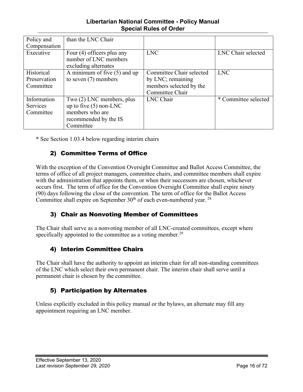### **Libertarian National Committee - Policy Manual Special Rules of Order**

<span id="page-15-0"></span>

| Policy and<br>Compensation | than the LNC Chair             |                          |                      |
|----------------------------|--------------------------------|--------------------------|----------------------|
|                            |                                |                          |                      |
| Executive                  | Four $(4)$ officers plus any   | <b>LNC</b>               | LNC Chair selected   |
|                            | number of LNC members          |                          |                      |
|                            | excluding alternates           |                          |                      |
| Historical                 | A minimum of five $(5)$ and up | Committee Chair selected | <b>LNC</b>           |
| Preservation               | to seven $(7)$ members         | by LNC; remaining        |                      |
| Committee                  |                                | members selected by the  |                      |
|                            |                                | Committee Chair          |                      |
| Information                | Two (2) LNC members, plus      | LNC Chair                | * Committee selected |
| <b>Services</b>            | up to five $(5)$ non-LNC       |                          |                      |
| Committee                  | members who are                |                          |                      |
|                            | recommended by the IS          |                          |                      |
|                            | Committee                      |                          |                      |

\* See Section 1.03.4 below regarding interim chairs

# 2) Committee Terms of Office

With the exception of the Convention Oversight Committee and Ballot Access Committee, the terms of office of all project managers, committee chairs, and committee members shall expire with the administration that appoints them, or when their successors are chosen, whichever occurs first. The term of office for the Convention Oversight Committee shall expire ninety (90) days following the close of the convention. The term of office for the Ballot Access Committee shall expire on September  $30<sup>th</sup>$  of each even-numbered year. <sup>28</sup>

# 3) Chair as Nonvoting Member of Committees

The Chair shall serve as a nonvoting member of all LNC-created committees, except where specifically appointed to the committee as a voting member.<sup>29</sup>

# 4) Interim Committee Chairs

The Chair shall have the authority to appoint an interim chair for all non-standing committees of the LNC which select their own permanent chair. The interim chair shall serve until a permanent chair is chosen by the committee.

# 5) Participation by Alternates

Unless explicitly excluded in this policy manual or the bylaws, an alternate may fill any appointment requiring an LNC member.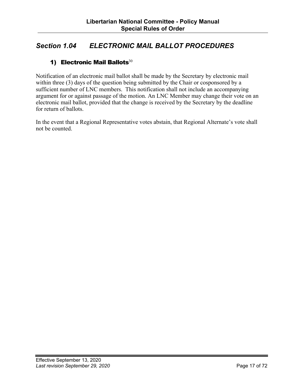# <span id="page-16-0"></span>*Section 1.04 ELECTRONIC MAIL BALLOT PROCEDURES*

# 1) Electronic Mail Ballots $30$

Notification of an electronic mail ballot shall be made by the Secretary by electronic mail within three (3) days of the question being submitted by the Chair or cosponsored by a sufficient number of LNC members. This notification shall not include an accompanying argument for or against passage of the motion. An LNC Member may change their vote on an electronic mail ballot, provided that the change is received by the Secretary by the deadline for return of ballots.

In the event that a Regional Representative votes abstain, that Regional Alternate's vote shall not be counted.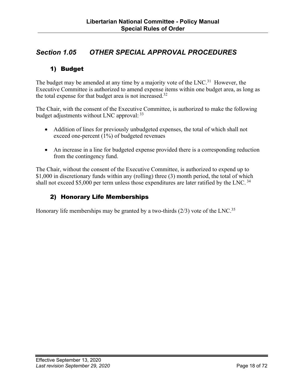# <span id="page-17-0"></span>*Section 1.05 OTHER SPECIAL APPROVAL PROCEDURES*

# 1) Budget

The budget may be amended at any time by a majority vote of the  $LNC<sup>31</sup>$  However, the Executive Committee is authorized to amend expense items within one budget area, as long as the total expense for that budget area is not increased.32

The Chair, with the consent of the Executive Committee, is authorized to make the following budget adjustments without LNC approval: 33

- Addition of lines for previously unbudgeted expenses, the total of which shall not exceed one-percent (1%) of budgeted revenues
- An increase in a line for budgeted expense provided there is a corresponding reduction from the contingency fund.

The Chair, without the consent of the Executive Committee, is authorized to expend up to \$1,000 in discretionary funds within any (rolling) three (3) month period, the total of which shall not exceed \$5,000 per term unless those expenditures are later ratified by the LNC.<sup>34</sup>

# 2) Honorary Life Memberships

Honorary life memberships may be granted by a two-thirds  $(2/3)$  vote of the LNC.<sup>35</sup>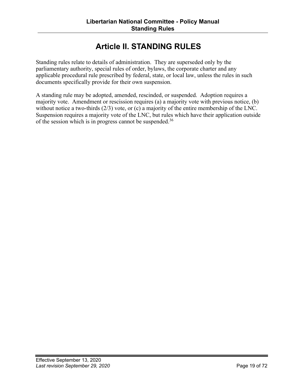# **Article II. STANDING RULES**

<span id="page-18-0"></span>Standing rules relate to details of administration. They are superseded only by the parliamentary authority, special rules of order, bylaws, the corporate charter and any applicable procedural rule prescribed by federal, state, or local law, unless the rules in such documents specifically provide for their own suspension.

A standing rule may be adopted, amended, rescinded, or suspended. Adoption requires a majority vote. Amendment or rescission requires (a) a majority vote with previous notice, (b) without notice a two-thirds (2/3) vote, or (c) a majority of the entire membership of the LNC. Suspension requires a majority vote of the LNC, but rules which have their application outside of the session which is in progress cannot be suspended.<sup>36</sup>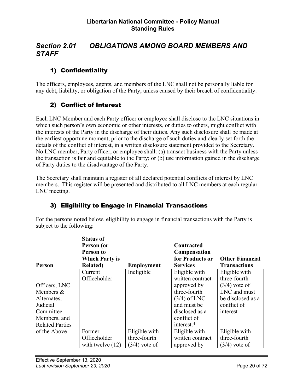# <span id="page-19-0"></span>*Section 2.01 OBLIGATIONS AMONG BOARD MEMBERS AND STAFF*

# 1) Confidentiality

The officers, employees, agents, and members of the LNC shall not be personally liable for any debt, liability, or obligation of the Party, unless caused by their breach of confidentiality.

# 2) Conflict of Interest

Each LNC Member and each Party officer or employee shall disclose to the LNC situations in which such person's own economic or other interests, or duties to others, might conflict with the interests of the Party in the discharge of their duties. Any such disclosure shall be made at the earliest opportune moment, prior to the discharge of such duties and clearly set forth the details of the conflict of interest, in a written disclosure statement provided to the Secretary. No LNC member, Party officer, or employee shall: (a) transact business with the Party unless the transaction is fair and equitable to the Party; or (b) use information gained in the discharge of Party duties to the disadvantage of the Party.

The Secretary shall maintain a register of all declared potential conflicts of interest by LNC members. This register will be presented and distributed to all LNC members at each regular LNC meeting.

# 3) Eligibility to Engage in Financial Transactions

For the persons noted below, eligibility to engage in financial transactions with the Party is subject to the following:

|                        | <b>Status of</b>      |                   |                  |                        |
|------------------------|-----------------------|-------------------|------------------|------------------------|
|                        | Person (or            |                   | Contracted       |                        |
|                        | Person to             |                   | Compensation     |                        |
|                        | <b>Which Party is</b> |                   | for Products or  | <b>Other Financial</b> |
| Person                 | <b>Related</b> )      | <b>Employment</b> | <b>Services</b>  | <b>Transactions</b>    |
|                        | Current               | Ineligible        | Eligible with    | Eligible with          |
|                        | Officeholder          |                   | written contract | three-fourth           |
| Officers, LNC          |                       |                   | approved by      | $(3/4)$ vote of        |
| Members &              |                       |                   | three-fourth     | LNC and must           |
| Alternates,            |                       |                   | $(3/4)$ of LNC   | be disclosed as a      |
| Judicial               |                       |                   | and must be      | conflict of            |
| Committee              |                       |                   | disclosed as a   | interest               |
| Members, and           |                       |                   | conflict of      |                        |
| <b>Related Parties</b> |                       |                   | interest.*       |                        |
| of the Above           | Former                | Eligible with     | Eligible with    | Eligible with          |
|                        | Officeholder          | three-fourth      | written contract | three-fourth           |
|                        | with twelve $(12)$    | $(3/4)$ vote of   | approved by      | $(3/4)$ vote of        |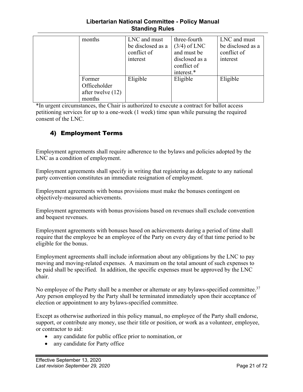#### **Libertarian National Committee - Policy Manual Standing Rules**

<span id="page-20-0"></span>

| months                                                  | LNC and must<br>be disclosed as a<br>conflict of<br>interest | three-fourth<br>$(3/4)$ of LNC<br>and must be<br>disclosed as a<br>conflict of<br>interest.* | LNC and must<br>be disclosed as a<br>conflict of<br>interest |
|---------------------------------------------------------|--------------------------------------------------------------|----------------------------------------------------------------------------------------------|--------------------------------------------------------------|
| Former<br>Officeholder<br>after twelve $(12)$<br>months | Eligible                                                     | Eligible                                                                                     | Eligible                                                     |

\*In urgent circumstances, the Chair is authorized to execute a contract for ballot access petitioning services for up to a one-week (1 week) time span while pursuing the required consent of the LNC.

# 4) Employment Terms

Employment agreements shall require adherence to the bylaws and policies adopted by the LNC as a condition of employment.

Employment agreements shall specify in writing that registering as delegate to any national party convention constitutes an immediate resignation of employment.

Employment agreements with bonus provisions must make the bonuses contingent on objectively-measured achievements.

Employment agreements with bonus provisions based on revenues shall exclude convention and bequest revenues.

Employment agreements with bonuses based on achievements during a period of time shall require that the employee be an employee of the Party on every day of that time period to be eligible for the bonus.

Employment agreements shall include information about any obligations by the LNC to pay moving and moving-related expenses. A maximum on the total amount of such expenses to be paid shall be specified. In addition, the specific expenses must be approved by the LNC chair.

No employee of the Party shall be a member or alternate or any bylaws-specified committee.<sup>37</sup> Any person employed by the Party shall be terminated immediately upon their acceptance of election or appointment to any bylaws-specified committee.

Except as otherwise authorized in this policy manual, no employee of the Party shall endorse, support, or contribute any money, use their title or position, or work as a volunteer, employee, or contractor to aid:

- any candidate for public office prior to nomination, or
- any candidate for Party office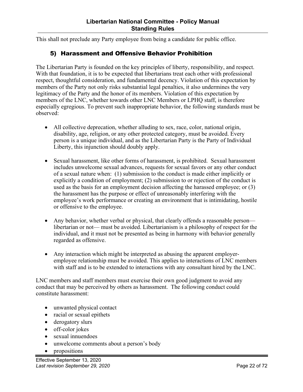<span id="page-21-0"></span>This shall not preclude any Party employee from being a candidate for public office.

# 5) Harassment and Offensive Behavior Prohibition

The Libertarian Party is founded on the key principles of liberty, responsibility, and respect. With that foundation, it is to be expected that libertarians treat each other with professional respect, thoughtful consideration, and fundamental decency. Violation of this expectation by members of the Party not only risks substantial legal penalties, it also undermines the very legitimacy of the Party and the honor of its members. Violation of this expectation by members of the LNC, whether towards other LNC Members or LPHQ staff, is therefore especially egregious. To prevent such inappropriate behavior, the following standards must be observed:

- All collective deprecation, whether alluding to sex, race, color, national origin, disability, age, religion, or any other protected category, must be avoided. Every person is a unique individual, and as the Libertarian Party is the Party of Individual Liberty, this injunction should doubly apply.
- Sexual harassment, like other forms of harassment, is prohibited. Sexual harassment includes unwelcome sexual advances, requests for sexual favors or any other conduct of a sexual nature when: (1) submission to the conduct is made either implicitly or explicitly a condition of employment; (2) submission to or rejection of the conduct is used as the basis for an employment decision affecting the harassed employee; or (3) the harassment has the purpose or effect of unreasonably interfering with the employee's work performance or creating an environment that is intimidating, hostile or offensive to the employee.
- Any behavior, whether verbal or physical, that clearly offends a reasonable person libertarian or not— must be avoided. Libertarianism is a philosophy of respect for the individual, and it must not be presented as being in harmony with behavior generally regarded as offensive.
- Any interaction which might be interpreted as abusing the apparent employeremployee relationship must be avoided. This applies to interactions of LNC members with staff and is to be extended to interactions with any consultant hired by the LNC.

LNC members and staff members must exercise their own good judgment to avoid any conduct that may be perceived by others as harassment. The following conduct could constitute harassment:

- unwanted physical contact
- racial or sexual epithets
- derogatory slurs
- off-color jokes
- sexual innuendoes
- unwelcome comments about a person's body
- propositions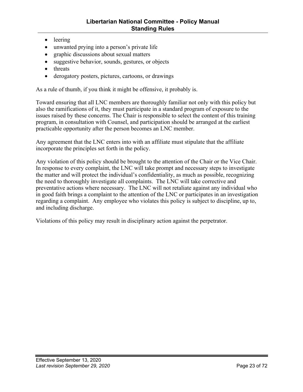- leering
- unwanted prying into a person's private life
- graphic discussions about sexual matters
- suggestive behavior, sounds, gestures, or objects
- threats
- derogatory posters, pictures, cartoons, or drawings

As a rule of thumb, if you think it might be offensive, it probably is.

Toward ensuring that all LNC members are thoroughly familiar not only with this policy but also the ramifications of it, they must participate in a standard program of exposure to the issues raised by these concerns. The Chair is responsible to select the content of this training program, in consultation with Counsel, and participation should be arranged at the earliest practicable opportunity after the person becomes an LNC member.

Any agreement that the LNC enters into with an affiliate must stipulate that the affiliate incorporate the principles set forth in the policy.

Any violation of this policy should be brought to the attention of the Chair or the Vice Chair. In response to every complaint, the LNC will take prompt and necessary steps to investigate the matter and will protect the individual's confidentiality, as much as possible, recognizing the need to thoroughly investigate all complaints. The LNC will take corrective and preventative actions where necessary. The LNC will not retaliate against any individual who in good faith brings a complaint to the attention of the LNC or participates in an investigation regarding a complaint. Any employee who violates this policy is subject to discipline, up to, and including discharge.

Violations of this policy may result in disciplinary action against the perpetrator.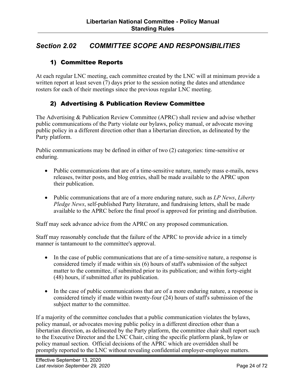# <span id="page-23-0"></span>*Section 2.02 COMMITTEE SCOPE AND RESPONSIBILITIES*

# 1) Committee Reports

At each regular LNC meeting, each committee created by the LNC will at minimum provide a written report at least seven (7) days prior to the session noting the dates and attendance rosters for each of their meetings since the previous regular LNC meeting.

# 2) Advertising & Publication Review Committee

The Advertising & Publication Review Committee (APRC) shall review and advise whether public communications of the Party violate our bylaws, policy manual, or advocate moving public policy in a different direction other than a libertarian direction, as delineated by the Party platform.

Public communications may be defined in either of two (2) categories: time-sensitive or enduring.

- Public communications that are of a time-sensitive nature, namely mass e-mails, news releases, twitter posts, and blog entries, shall be made available to the APRC upon their publication.
- Public communications that are of a more enduring nature, such as *LP News*, *Liberty Pledge News*, self-published Party literature, and fundraising letters, shall be made available to the APRC before the final proof is approved for printing and distribution.

Staff may seek advance advice from the APRC on any proposed communication.

Staff may reasonably conclude that the failure of the APRC to provide advice in a timely manner is tantamount to the committee's approval.

- In the case of public communications that are of a time-sensitive nature, a response is considered timely if made within six (6) hours of staff's submission of the subject matter to the committee, if submitted prior to its publication; and within forty-eight (48) hours, if submitted after its publication.
- In the case of public communications that are of a more enduring nature, a response is considered timely if made within twenty-four (24) hours of staff's submission of the subject matter to the committee.

If a majority of the committee concludes that a public communication violates the bylaws, policy manual, or advocates moving public policy in a different direction other than a libertarian direction, as delineated by the Party platform, the committee chair shall report such to the Executive Director and the LNC Chair, citing the specific platform plank, bylaw or policy manual section. Official decisions of the APRC which are overridden shall be promptly reported to the LNC without revealing confidential employer-employee matters.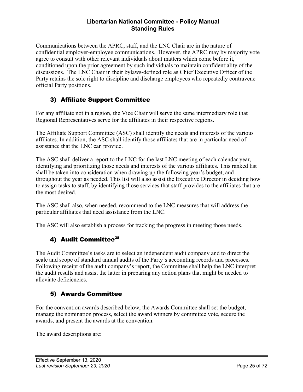<span id="page-24-0"></span>Communications between the APRC, staff, and the LNC Chair are in the nature of confidential employer-employee communications. However, the APRC may by majority vote agree to consult with other relevant individuals about matters which come before it, conditioned upon the prior agreement by such individuals to maintain confidentiality of the discussions. The LNC Chair in their bylaws-defined role as Chief Executive Officer of the Party retains the sole right to discipline and discharge employees who repeatedly contravene official Party positions.

# 3) Affiliate Support Committee

For any affiliate not in a region, the Vice Chair will serve the same intermediary role that Regional Representatives serve for the affiliates in their respective regions.

The Affiliate Support Committee (ASC) shall identify the needs and interests of the various affiliates. In addition, the ASC shall identify those affiliates that are in particular need of assistance that the LNC can provide.

The ASC shall deliver a report to the LNC for the last LNC meeting of each calendar year, identifying and prioritizing those needs and interests of the various affiliates. This ranked list shall be taken into consideration when drawing up the following year's budget, and throughout the year as needed. This list will also assist the Executive Director in deciding how to assign tasks to staff, by identifying those services that staff provides to the affiliates that are the most desired.

The ASC shall also, when needed, recommend to the LNC measures that will address the particular affiliates that need assistance from the LNC.

The ASC will also establish a process for tracking the progress in meeting those needs.

# 4) Audit Committee<sup>38</sup>

The Audit Committee's tasks are to select an independent audit company and to direct the scale and scope of standard annual audits of the Party's accounting records and processes. Following receipt of the audit company's report, the Committee shall help the LNC interpret the audit results and assist the latter in preparing any action plans that might be needed to alleviate deficiencies.

# 5) Awards Committee

For the convention awards described below, the Awards Committee shall set the budget, manage the nomination process, select the award winners by committee vote, secure the awards, and present the awards at the convention.

The award descriptions are: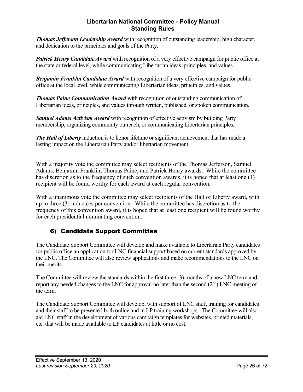#### **Libertarian National Committee - Policy Manual Standing Rules**

<span id="page-25-0"></span>*Thomas Jefferson Leadership Award* with recognition of outstanding leadership, high character, and dedication to the principles and goals of the Party.

*Patrick Henry Candidate Award* with recognition of a very effective campaign for public office at the state or federal level, while communicating Libertarian ideas, principles, and values.

*Benjamin Franklin Candidate Award* with recognition of a very effective campaign for public office at the local level, while communicating Libertarian ideas, principles, and values.

*Thomas Paine Communication Award* with recognition of outstanding communication of Libertarian ideas, principles, and values through written, published, or spoken communication.

*Samuel Adams Activism Award* with recognition of effective activism by building Party membership, organizing community outreach, or communicating Libertarian principles.

*The Hall of Liberty* induction is to honor lifetime or significant achievement that has made a lasting impact on the Libertarian Party and/or libertarian movement.

With a majority vote the committee may select recipients of the Thomas Jefferson, Samuel Adams, Benjamin Franklin, Thomas Paine, and Patrick Henry awards. While the committee has discretion as to the frequency of such convention awards, it is hoped that at least one (1) recipient will be found worthy for each award at each regular convention.

With a unanimous vote the committee may select recipients of the Hall of Liberty award, with up to three (3) inductees per convention. While the committee has discretion as to the frequency of this convention award, it is hoped that at least one recipient will be found worthy for each presidential nominating convention.

# 6) Candidate Support Committee

The Candidate Support Committee will develop and make available to Libertarian Party candidates for public office an application for LNC financial support based on current standards approved by the LNC. The Committee will also review applications and make recommendations to the LNC on their merits.

The Committee will review the standards within the first three (3) months of a new LNC term and report any needed changes to the LNC for approval no later than the second  $(2<sup>nd</sup>)$  LNC meeting of the term.

The Candidate Support Committee will develop, with support of LNC staff, training for candidates and their staff to be presented both online and in LP training workshops. The Committee will also aid LNC staff in the development of various campaign templates for websites, printed materials, etc. that will be made available to LP candidates at little or no cost.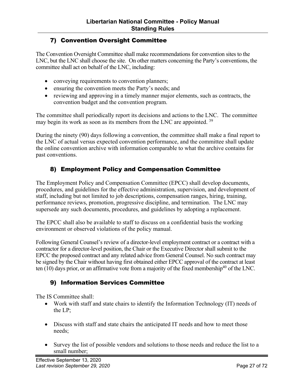# <span id="page-26-0"></span>7) Convention Oversight Committee

The Convention Oversight Committee shall make recommendations for convention sites to the LNC, but the LNC shall choose the site. On other matters concerning the Party's conventions, the committee shall act on behalf of the LNC, including:

- conveying requirements to convention planners;
- ensuring the convention meets the Party's needs; and
- reviewing and approving in a timely manner major elements, such as contracts, the convention budget and the convention program.

The committee shall periodically report its decisions and actions to the LNC. The committee may begin its work as soon as its members from the LNC are appointed. 39

During the ninety (90) days following a convention, the committee shall make a final report to the LNC of actual versus expected convention performance, and the committee shall update the online convention archive with information comparable to what the archive contains for past conventions.

# 8) Employment Policy and Compensation Committee

The Employment Policy and Compensation Committee (EPCC) shall develop documents, procedures, and guidelines for the effective administration, supervision, and development of staff, including but not limited to job descriptions, compensation ranges, hiring, training, performance reviews, promotion, progressive discipline, and termination. The LNC may supersede any such documents, procedures, and guidelines by adopting a replacement.

The EPCC shall also be available to staff to discuss on a confidential basis the working environment or observed violations of the policy manual.

Following General Counsel's review of a director-level employment contract or a contract with a contractor for a director-level position, the Chair or the Executive Director shall submit to the EPCC the proposed contract and any related advice from General Counsel. No such contract may be signed by the Chair without having first obtained either EPCC approval of the contract at least ten (10) days prior, or an affirmative vote from a majority of the fixed membership<sup>40</sup> of the LNC.

# 9) Information Services Committee

The IS Committee shall:

- Work with staff and state chairs to identify the Information Technology (IT) needs of the LP;
- Discuss with staff and state chairs the anticipated IT needs and how to meet those needs;
- Survey the list of possible vendors and solutions to those needs and reduce the list to a small number;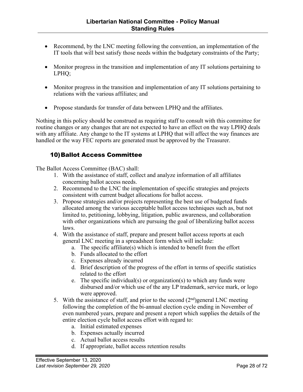- <span id="page-27-0"></span>• Recommend, by the LNC meeting following the convention, an implementation of the IT tools that will best satisfy those needs within the budgetary constraints of the Party;
- Monitor progress in the transition and implementation of any IT solutions pertaining to LPHQ;
- Monitor progress in the transition and implementation of any IT solutions pertaining to relations with the various affiliates; and
- Propose standards for transfer of data between LPHQ and the affiliates.

Nothing in this policy should be construed as requiring staff to consult with this committee for routine changes or any changes that are not expected to have an effect on the way LPHQ deals with any affiliate. Any change to the IT systems at LPHQ that will affect the way finances are handled or the way FEC reports are generated must be approved by the Treasurer.

# 10)Ballot Access Committee

The Ballot Access Committee (BAC) shall:

- 1. With the assistance of staff, collect and analyze information of all affiliates concerning ballot access needs.
- 2. Recommend to the LNC the implementation of specific strategies and projects consistent with current budget allocations for ballot access.
- 3. Propose strategies and/or projects representing the best use of budgeted funds allocated among the various acceptable ballot access techniques such as, but not limited to, petitioning, lobbying, litigation, public awareness, and collaboration with other organizations which are pursuing the goal of liberalizing ballot access laws.
- 4. With the assistance of staff, prepare and present ballot access reports at each general LNC meeting in a spreadsheet form which will include:
	- a. The specific affiliate(s) which is intended to benefit from the effort
	- b. Funds allocated to the effort
	- c. Expenses already incurred
	- d. Brief description of the progress of the effort in terms of specific statistics related to the effort
	- e. The specific individual(s) or organization(s) to which any funds were disbursed and/or which use of the any LP trademark, service mark, or logo were approved.
- 5. With the assistance of staff, and prior to the second  $(2<sup>nd</sup>)$  general LNC meeting following the completion of the bi-annual election cycle ending in November of even numbered years, prepare and present a report which supplies the details of the entire election cycle ballot access effort with regard to:
	- a. Initial estimated expenses
	- b. Expenses actually incurred
	- c. Actual ballot access results
	- d. If appropriate, ballot access retention results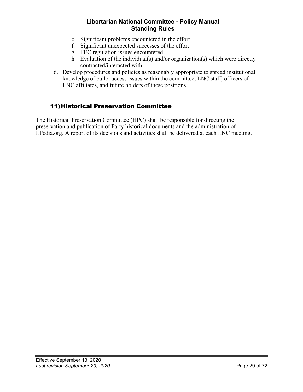#### **Libertarian National Committee - Policy Manual Standing Rules**

- <span id="page-28-0"></span>e. Significant problems encountered in the effort
- f. Significant unexpected successes of the effort
- g. FEC regulation issues encountered
- h. Evaluation of the individual(s) and/or organization(s) which were directly contracted/interacted with.
- 6. Develop procedures and policies as reasonably appropriate to spread institutional knowledge of ballot access issues within the committee, LNC staff, officers of LNC affiliates, and future holders of these positions.

# 11)Historical Preservation Committee

The Historical Preservation Committee (HPC) shall be responsible for directing the preservation and publication of Party historical documents and the administration of LPedia.org. A report of its decisions and activities shall be delivered at each LNC meeting.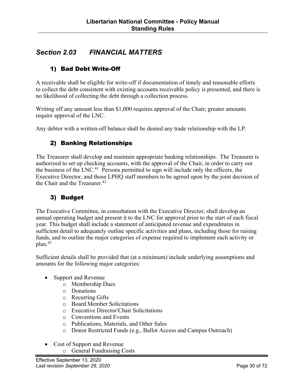# <span id="page-29-0"></span>*Section 2.03 FINANCIAL MATTERS*

# 1) Bad Debt Write-Off

A receivable shall be eligible for write-off if documentation of timely and reasonable efforts to collect the debt consistent with existing accounts receivable policy is presented, and there is no likelihood of collecting the debt through a collection process.

Writing off any amount less than \$1,000 requires approval of the Chair; greater amounts require approval of the LNC.

Any debtor with a written-off balance shall be denied any trade relationship with the LP.

# 2) Banking Relationships

The Treasurer shall develop and maintain appropriate banking relationships. The Treasurer is authorized to set up checking accounts, with the approval of the Chair, in order to carry out the business of the LNC.<sup>41</sup> Persons permitted to sign will include only the officers, the Executive Director, and those LPHQ staff members to be agreed upon by the joint decision of the Chair and the Treasurer.<sup>42</sup>

# 3) Budget

The Executive Committee, in consultation with the Executive Director, shall develop an annual operating budget and present it to the LNC for approval prior to the start of each fiscal year. This budget shall include a statement of anticipated revenue and expenditures in sufficient detail to adequately outline specific activities and plans, including those for raising funds, and to outline the major categories of expense required to implement each activity or plan.43

Sufficient details shall be provided that (at a minimum) include underlying assumptions and amounts for the following major categories:

- Support and Revenue
	- o Membership Dues
	- o Donations
	- o Recurring Gifts
	- o Board Member Solicitations
	- o Executive Director/Chair Solicitations
	- o Conventions and Events
	- o Publications, Materials, and Other Sales
	- o Donor Restricted Funds (e.g., Ballot Access and Campus Outreach)
- Cost of Support and Revenue
	- o General Fundraising Costs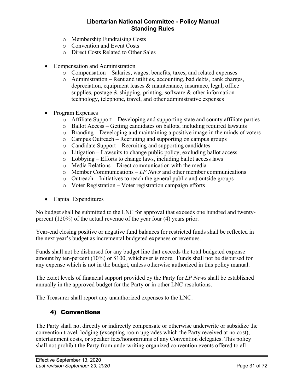- <span id="page-30-0"></span>o Membership Fundraising Costs
- o Convention and Event Costs
- o Direct Costs Related to Other Sales
- Compensation and Administration
	- o Compensation Salaries, wages, benefits, taxes, and related expenses
	- o Administration Rent and utilities, accounting, bad debts, bank charges, depreciation, equipment leases & maintenance, insurance, legal, office supplies, postage  $\&$  shipping, printing, software  $\&$  other information technology, telephone, travel, and other administrative expenses
- Program Expenses
	- o Affiliate Support Developing and supporting state and county affiliate parties
	- o Ballot Access Getting candidates on ballots, including required lawsuits
	- o Branding Developing and maintaining a positive image in the minds of voters
	- o Campus Outreach Recruiting and supporting on campus groups
	- o Candidate Support Recruiting and supporting candidates
	- o Litigation Lawsuits to change public policy, excluding ballot access
	- o Lobbying Efforts to change laws, including ballot access laws
	- o Media Relations Direct communication with the media
	- o Member Communications *LP News* and other member communications
	- o Outreach Initiatives to reach the general public and outside groups
	- o Voter Registration Voter registration campaign efforts
- Capital Expenditures

No budget shall be submitted to the LNC for approval that exceeds one hundred and twentypercent (120%) of the actual revenue of the year four (4) years prior.

Year-end closing positive or negative fund balances for restricted funds shall be reflected in the next year's budget as incremental budgeted expenses or revenues.

Funds shall not be disbursed for any budget line that exceeds the total budgeted expense amount by ten-percent (10%) or \$100, whichever is more. Funds shall not be disbursed for any expense which is not in the budget, unless otherwise authorized in this policy manual.

The exact levels of financial support provided by the Party for *LP News* shall be established annually in the approved budget for the Party or in other LNC resolutions.

The Treasurer shall report any unauthorized expenses to the LNC.

### 4) Conventions

The Party shall not directly or indirectly compensate or otherwise underwrite or subsidize the convention travel, lodging (excepting room upgrades which the Party received at no cost), entertainment costs, or speaker fees/honorariums of any Convention delegates. This policy shall not prohibit the Party from underwriting organized convention events offered to all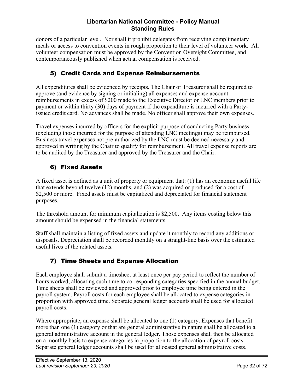<span id="page-31-0"></span>donors of a particular level. Nor shall it prohibit delegates from receiving complimentary meals or access to convention events in rough proportion to their level of volunteer work. All volunteer compensation must be approved by the Convention Oversight Committee, and contemporaneously published when actual compensation is received.

# 5) Credit Cards and Expense Reimbursements

All expenditures shall be evidenced by receipts. The Chair or Treasurer shall be required to approve (and evidence by signing or initialing) all expenses and expense account reimbursements in excess of \$200 made to the Executive Director or LNC members prior to payment or within thirty (30) days of payment if the expenditure is incurred with a Partyissued credit card. No advances shall be made. No officer shall approve their own expenses.

Travel expenses incurred by officers for the explicit purpose of conducting Party business (excluding those incurred for the purpose of attending LNC meetings) may be reimbursed. Business travel expenses not pre-authorized by the LNC must be deemed necessary and approved in writing by the Chair to qualify for reimbursement. All travel expense reports are to be audited by the Treasurer and approved by the Treasurer and the Chair.

# 6) Fixed Assets

A fixed asset is defined as a unit of property or equipment that: (1) has an economic useful life that extends beyond twelve (12) months, and (2) was acquired or produced for a cost of \$2,500 or more. Fixed assets must be capitalized and depreciated for financial statement purposes.

The threshold amount for minimum capitalization is \$2,500. Any items costing below this amount should be expensed in the financial statements.

Staff shall maintain a listing of fixed assets and update it monthly to record any additions or disposals. Depreciation shall be recorded monthly on a straight-line basis over the estimated useful lives of the related assets.

# 7) Time Sheets and Expense Allocation

Each employee shall submit a timesheet at least once per pay period to reflect the number of hours worked, allocating such time to corresponding categories specified in the annual budget. Time sheets shall be reviewed and approved prior to employee time being entered in the payroll system. Payroll costs for each employee shall be allocated to expense categories in proportion with approved time. Separate general ledger accounts shall be used for allocated payroll costs.

Where appropriate, an expense shall be allocated to one (1) category. Expenses that benefit more than one (1) category or that are general administrative in nature shall be allocated to a general administrative account in the general ledger. Those expenses shall then be allocated on a monthly basis to expense categories in proportion to the allocation of payroll costs. Separate general ledger accounts shall be used for allocated general administrative costs.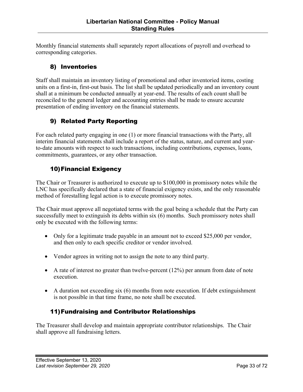<span id="page-32-0"></span>Monthly financial statements shall separately report allocations of payroll and overhead to corresponding categories.

# 8) Inventories

Staff shall maintain an inventory listing of promotional and other inventoried items, costing units on a first-in, first-out basis. The list shall be updated periodically and an inventory count shall at a minimum be conducted annually at year-end. The results of each count shall be reconciled to the general ledger and accounting entries shall be made to ensure accurate presentation of ending inventory on the financial statements.

# 9) Related Party Reporting

For each related party engaging in one (1) or more financial transactions with the Party, all interim financial statements shall include a report of the status, nature, and current and yearto-date amounts with respect to such transactions, including contributions, expenses, loans, commitments, guarantees, or any other transaction.

# 10)Financial Exigency

The Chair or Treasurer is authorized to execute up to \$100,000 in promissory notes while the LNC has specifically declared that a state of financial exigency exists, and the only reasonable method of forestalling legal action is to execute promissory notes.

The Chair must approve all negotiated terms with the goal being a schedule that the Party can successfully meet to extinguish its debts within six (6) months. Such promissory notes shall only be executed with the following terms:

- Only for a legitimate trade payable in an amount not to exceed \$25,000 per vendor, and then only to each specific creditor or vendor involved.
- Vendor agrees in writing not to assign the note to any third party.
- A rate of interest no greater than twelve-percent  $(12\%)$  per annum from date of note execution.
- A duration not exceeding six (6) months from note execution. If debt extinguishment is not possible in that time frame, no note shall be executed.

# 11)Fundraising and Contributor Relationships

The Treasurer shall develop and maintain appropriate contributor relationships. The Chair shall approve all fundraising letters.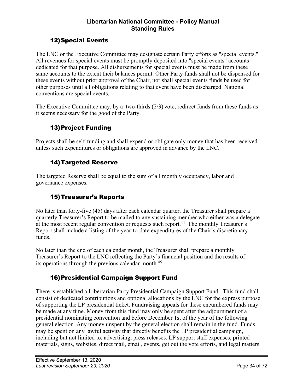# 12)Special Events

<span id="page-33-0"></span>The LNC or the Executive Committee may designate certain Party efforts as "special events." All revenues for special events must be promptly deposited into "special events" accounts dedicated for that purpose. All disbursements for special events must be made from these same accounts to the extent their balances permit. Other Party funds shall not be dispensed for these events without prior approval of the Chair, nor shall special events funds be used for other purposes until all obligations relating to that event have been discharged. National conventions are special events.

The Executive Committee may, by a two-thirds (2/3) vote, redirect funds from these funds as it seems necessary for the good of the Party.

# 13)Project Funding

Projects shall be self-funding and shall expend or obligate only money that has been received unless such expenditures or obligations are approved in advance by the LNC.

# 14)Targeted Reserve

The targeted Reserve shall be equal to the sum of all monthly occupancy, labor and governance expenses.

# 15)Treasurer's Reports

No later than forty-five (45) days after each calendar quarter, the Treasurer shall prepare a quarterly Treasurer's Report to be mailed to any sustaining member who either was a delegate at the most recent regular convention or requests such report.<sup>44</sup> The monthly Treasurer's Report shall include a listing of the year-to-date expenditures of the Chair's discretionary funds.

No later than the end of each calendar month, the Treasurer shall prepare a monthly Treasurer's Report to the LNC reflecting the Party's financial position and the results of its operations through the previous calendar month.<sup>45</sup>

# 16)Presidential Campaign Support Fund

There is established a Libertarian Party Presidential Campaign Support Fund. This fund shall consist of dedicated contributions and optional allocations by the LNC for the express purpose of supporting the LP presidential ticket. Fundraising appeals for these encumbered funds may be made at any time. Money from this fund may only be spent after the adjournment of a presidential nominating convention and before December 1st of the year of the following general election. Any money unspent by the general election shall remain in the fund. Funds may be spent on any lawful activity that directly benefits the LP presidential campaign, including but not limited to: advertising, press releases, LP support staff expenses, printed materials, signs, websites, direct mail, email, events, get out the vote efforts, and legal matters.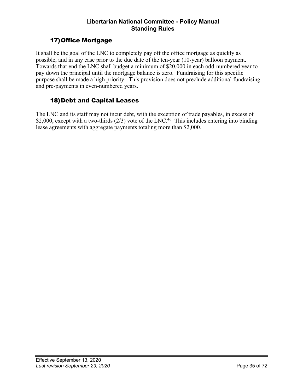# 17)Office Mortgage

<span id="page-34-0"></span>It shall be the goal of the LNC to completely pay off the office mortgage as quickly as possible, and in any case prior to the due date of the ten-year (10-year) balloon payment. Towards that end the LNC shall budget a minimum of \$20,000 in each odd-numbered year to pay down the principal until the mortgage balance is zero. Fundraising for this specific purpose shall be made a high priority. This provision does not preclude additional fundraising and pre-payments in even-numbered years.

# 18)Debt and Capital Leases

The LNC and its staff may not incur debt, with the exception of trade payables, in excess of \$2,000, except with a two-thirds  $(2/3)$  vote of the LNC.<sup>46</sup> This includes entering into binding lease agreements with aggregate payments totaling more than \$2,000.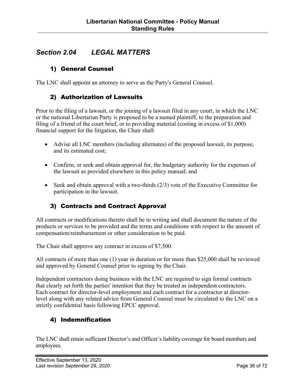# <span id="page-35-0"></span>*Section 2.04 LEGAL MATTERS*

# 1) General Counsel

The LNC shall appoint an attorney to serve as the Party's General Counsel.

# 2) Authorization of Lawsuits

Prior to the filing of a lawsuit, or the joining of a lawsuit filed in any court, in which the LNC or the national Libertarian Party is proposed to be a named plaintiff, to the preparation and filing of a friend of the court brief, or to providing material (costing in excess of \$1,000) financial support for the litigation, the Chair shall:

- Advise all LNC members (including alternates) of the proposed lawsuit, its purpose, and its estimated cost;
- Confirm, or seek and obtain approval for, the budgetary authority for the expenses of the lawsuit as provided elsewhere in this policy manual; and
- Seek and obtain approval with a two-thirds (2/3) vote of the Executive Committee for participation in the lawsuit.

# 3) Contracts and Contract Approval

All contracts or modifications thereto shall be in writing and shall document the nature of the products or services to be provided and the terms and conditions with respect to the amount of compensation/reimbursement or other consideration to be paid.

The Chair shall approve any contract in excess of \$7,500.

All contracts of more than one (1) year in duration or for more than \$25,000 shall be reviewed and approved by General Counsel prior to signing by the Chair.

Independent contractors doing business with the LNC are required to sign formal contracts that clearly set forth the parties' intention that they be treated as independent contractors. Each contract for director-level employment and each contract for a contractor at directorlevel along with any related advice from General Counsel must be circulated to the LNC on a strictly confidential basis following EPCC approval.

# 4) Indemnification

The LNC shall retain sufficient Director's and Officer's liability coverage for board members and employees.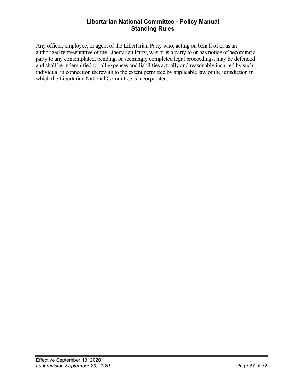Any officer, employee, or agent of the Libertarian Party who, acting on behalf of or as an authorized representative of the Libertarian Party, was or is a party to or has notice of becoming a party to any contemplated, pending, or seemingly completed legal proceedings, may be defended and shall be indemnified for all expenses and liabilities actually and reasonably incurred by such individual in connection therewith to the extent permitted by applicable law of the jurisdiction in which the Libertarian National Committee is incorporated.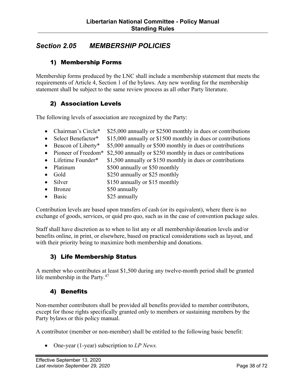## *Section 2.05 MEMBERSHIP POLICIES*

### 1) Membership Forms

Membership forms produced by the LNC shall include a membership statement that meets the requirements of Article 4, Section 1 of the bylaws. Any new wording for the membership statement shall be subject to the same review process as all other Party literature.

### 2) Association Levels

The following levels of association are recognized by the Party:

- Chairman's Circle\* \$25,000 annually or \$2500 monthly in dues or contributions
- Select Benefactor\* \$15,000 annually or \$1500 monthly in dues or contributions
- Beacon of Liberty\* \$5,000 annually or \$500 monthly in dues or contributions
- Pioneer of Freedom<sup>\*</sup> \$2,500 annually or \$250 monthly in dues or contributions
- Lifetime Founder\*  $$1,500$  annually or \$150 monthly in dues or contributions
- Platinum \$500 annually or \$50 monthly
- Gold \$250 annually or \$25 monthly
- Silver \$150 annually or \$15 monthly
- Bronze \$50 annually
- Basic \$25 annually

Contribution levels are based upon transfers of cash (or its equivalent), where there is no exchange of goods, services, or quid pro quo, such as in the case of convention package sales.

Staff shall have discretion as to when to list any or all membership/donation levels and/or benefits online, in print, or elsewhere, based on practical considerations such as layout, and with their priority being to maximize both membership and donations.

### 3) Life Membership Status

A member who contributes at least \$1,500 during any twelve-month period shall be granted life membership in the Party.<sup>47</sup>

### 4) Benefits

Non-member contributors shall be provided all benefits provided to member contributors, except for those rights specifically granted only to members or sustaining members by the Party bylaws or this policy manual.

A contributor (member or non-member) shall be entitled to the following basic benefit:

• One-year (1-year) subscription to *LP News.*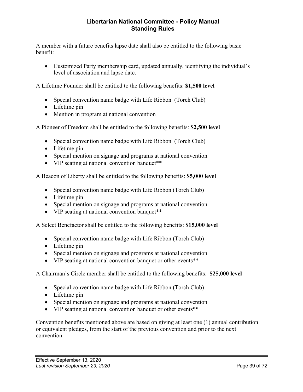A member with a future benefits lapse date shall also be entitled to the following basic benefit:

• Customized Party membership card, updated annually, identifying the individual's level of association and lapse date.

A Lifetime Founder shall be entitled to the following benefits: **\$1,500 level** 

- Special convention name badge with Life Ribbon (Torch Club)
- Lifetime pin
- Mention in program at national convention

A Pioneer of Freedom shall be entitled to the following benefits: **\$2,500 level**

- Special convention name badge with Life Ribbon (Torch Club)
- Lifetime pin
- Special mention on signage and programs at national convention
- VIP seating at national convention banquet\*\*

A Beacon of Liberty shall be entitled to the following benefits: **\$5,000 level**

- Special convention name badge with Life Ribbon (Torch Club)
- Lifetime pin
- Special mention on signage and programs at national convention
- VIP seating at national convention banquet\*\*

A Select Benefactor shall be entitled to the following benefits: **\$15,000 level** 

- Special convention name badge with Life Ribbon (Torch Club)
- Lifetime pin
- Special mention on signage and programs at national convention
- VIP seating at national convention banquet or other events\*\*

A Chairman's Circle member shall be entitled to the following benefits: **\$25,000 level** 

- Special convention name badge with Life Ribbon (Torch Club)
- Lifetime pin
- Special mention on signage and programs at national convention
- VIP seating at national convention banquet or other events\*\*

Convention benefits mentioned above are based on giving at least one (1) annual contribution or equivalent pledges, from the start of the previous convention and prior to the next convention.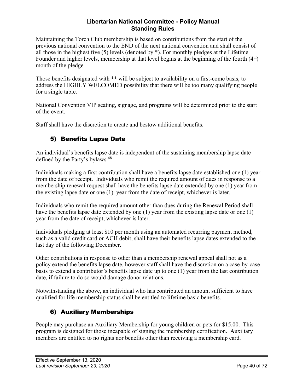#### **Libertarian National Committee - Policy Manual Standing Rules**

Maintaining the Torch Club membership is based on contributions from the start of the previous national convention to the END of the next national convention and shall consist of all those in the highest five (5) levels (denoted by \*). For monthly pledges at the Lifetime Founder and higher levels, membership at that level begins at the beginning of the fourth (4<sup>th</sup>) month of the pledge.

Those benefits designated with \*\* will be subject to availability on a first-come basis, to address the HIGHLY WELCOMED possibility that there will be too many qualifying people for a single table.

National Convention VIP seating, signage, and programs will be determined prior to the start of the event.

Staff shall have the discretion to create and bestow additional benefits.

## 5) Benefits Lapse Date

An individual's benefits lapse date is independent of the sustaining membership lapse date defined by the Party's bylaws.<sup>48</sup>

Individuals making a first contribution shall have a benefits lapse date established one (1) year from the date of receipt. Individuals who remit the required amount of dues in response to a membership renewal request shall have the benefits lapse date extended by one (1) year from the existing lapse date or one (1) year from the date of receipt, whichever is later.

Individuals who remit the required amount other than dues during the Renewal Period shall have the benefits lapse date extended by one (1) year from the existing lapse date or one (1) year from the date of receipt, whichever is later.

Individuals pledging at least \$10 per month using an automated recurring payment method, such as a valid credit card or ACH debit, shall have their benefits lapse dates extended to the last day of the following December.

Other contributions in response to other than a membership renewal appeal shall not as a policy extend the benefits lapse date, however staff shall have the discretion on a case-by-case basis to extend a contributor's benefits lapse date up to one (1) year from the last contribution date, if failure to do so would damage donor relations.

Notwithstanding the above, an individual who has contributed an amount sufficient to have qualified for life membership status shall be entitled to lifetime basic benefits.

### 6) Auxiliary Memberships

People may purchase an Auxiliary Membership for young children or pets for \$15.00. This program is designed for those incapable of signing the membership certification. Auxiliary members are entitled to no rights nor benefits other than receiving a membership card.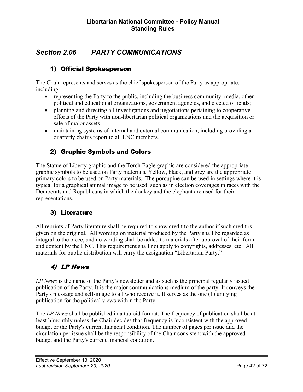## *Section 2.06 PARTY COMMUNICATIONS*

## 1) Official Spokesperson

The Chair represents and serves as the chief spokesperson of the Party as appropriate, including:

- representing the Party to the public, including the business community, media, other political and educational organizations, government agencies, and elected officials;
- planning and directing all investigations and negotiations pertaining to cooperative efforts of the Party with non-libertarian political organizations and the acquisition or sale of major assets;
- maintaining systems of internal and external communication, including providing a quarterly chair's report to all LNC members.

## 2) Graphic Symbols and Colors

The Statue of Liberty graphic and the Torch Eagle graphic are considered the appropriate graphic symbols to be used on Party materials. Yellow, black, and grey are the appropriate primary colors to be used on Party materials. The porcupine can be used in settings where it is typical for a graphical animal image to be used, such as in election coverages in races with the Democrats and Republicans in which the donkey and the elephant are used for their representations.

### 3) Literature

All reprints of Party literature shall be required to show credit to the author if such credit is given on the original. All wording on material produced by the Party shall be regarded as integral to the piece, and no wording shall be added to materials after approval of their form and content by the LNC. This requirement shall not apply to copyrights, addresses, etc. All materials for public distribution will carry the designation "Libertarian Party."

## 4) LP News

*LP News* is the name of the Party's newsletter and as such is the principal regularly issued publication of the Party. It is the major communications medium of the party. It conveys the Party's message and self-image to all who receive it. It serves as the one (1) unifying publication for the political views within the Party.

The *LP News* shall be published in a tabloid format. The frequency of publication shall be at least bimonthly unless the Chair decides that frequency is inconsistent with the approved budget or the Party's current financial condition. The number of pages per issue and the circulation per issue shall be the responsibility of the Chair consistent with the approved budget and the Party's current financial condition.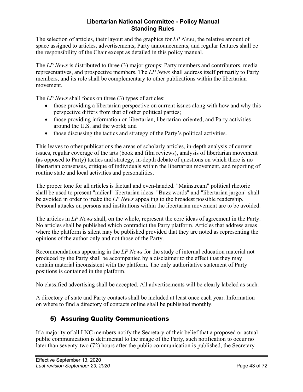The selection of articles, their layout and the graphics for *LP News*, the relative amount of space assigned to articles, advertisements, Party announcements, and regular features shall be the responsibility of the Chair except as detailed in this policy manual.

The *LP News* is distributed to three (3) major groups: Party members and contributors, media representatives, and prospective members. The *LP News* shall address itself primarily to Party members, and its role shall be complementary to other publications within the libertarian movement.

The *LP News* shall focus on three (3) types of articles:

- those providing a libertarian perspective on current issues along with how and why this perspective differs from that of other political parties;
- those providing information on libertarian, libertarian-oriented, and Party activities around the U.S. and the world; and
- those discussing the tactics and strategy of the Party's political activities.

This leaves to other publications the areas of scholarly articles, in-depth analysis of current issues, regular coverage of the arts (book and film reviews), analysis of libertarian movement (as opposed to Party) tactics and strategy, in-depth debate of questions on which there is no libertarian consensus, critique of individuals within the libertarian movement, and reporting of routine state and local activities and personalities.

The proper tone for all articles is factual and even-handed. "Mainstream" political rhetoric shall be used to present "radical" libertarian ideas. "Buzz words" and "libertarian jargon" shall be avoided in order to make the *LP News* appealing to the broadest possible readership. Personal attacks on persons and institutions within the libertarian movement are to be avoided.

The articles in *LP News* shall, on the whole, represent the core ideas of agreement in the Party. No articles shall be published which contradict the Party platform. Articles that address areas where the platform is silent may be published provided that they are noted as representing the opinions of the author only and not those of the Party.

Recommendations appearing in the *LP News* for the study of internal education material not produced by the Party shall be accompanied by a disclaimer to the effect that they may contain material inconsistent with the platform. The only authoritative statement of Party positions is contained in the platform.

No classified advertising shall be accepted. All advertisements will be clearly labeled as such.

A directory of state and Party contacts shall be included at least once each year. Information on where to find a directory of contacts online shall be published monthly.

## 5) Assuring Quality Communications

If a majority of all LNC members notify the Secretary of their belief that a proposed or actual public communication is detrimental to the image of the Party, such notification to occur no later than seventy-two (72) hours after the public communication is published, the Secretary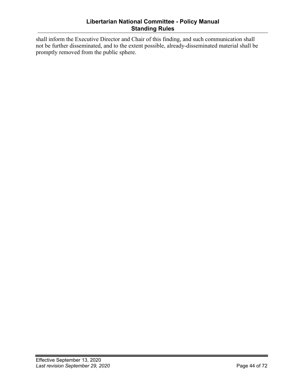#### **Libertarian National Committee - Policy Manual Standing Rules**

shall inform the Executive Director and Chair of this finding, and such communication shall not be further disseminated, and to the extent possible, already-disseminated material shall be promptly removed from the public sphere.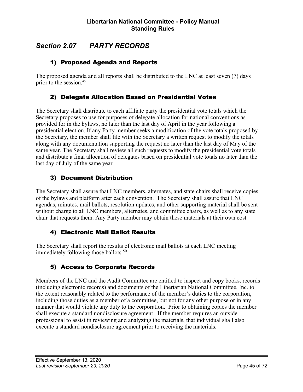## *Section 2.07 PARTY RECORDS*

### 1) Proposed Agenda and Reports

The proposed agenda and all reports shall be distributed to the LNC at least seven (7) days prior to the session. 49

### 2) Delegate Allocation Based on Presidential Votes

The Secretary shall distribute to each affiliate party the presidential vote totals which the Secretary proposes to use for purposes of delegate allocation for national conventions as provided for in the bylaws, no later than the last day of April in the year following a presidential election. If any Party member seeks a modification of the vote totals proposed by the Secretary, the member shall file with the Secretary a written request to modify the totals along with any documentation supporting the request no later than the last day of May of the same year. The Secretary shall review all such requests to modify the presidential vote totals and distribute a final allocation of delegates based on presidential vote totals no later than the last day of July of the same year.

### 3) Document Distribution

The Secretary shall assure that LNC members, alternates, and state chairs shall receive copies of the bylaws and platform after each convention. The Secretary shall assure that LNC agendas, minutes, mail ballots, resolution updates, and other supporting material shall be sent without charge to all LNC members, alternates, and committee chairs, as well as to any state chair that requests them. Any Party member may obtain these materials at their own cost.

### 4) Electronic Mail Ballot Results

The Secretary shall report the results of electronic mail ballots at each LNC meeting immediately following those ballots.<sup>50</sup>

### 5) Access to Corporate Records

Members of the LNC and the Audit Committee are entitled to inspect and copy books, records (including electronic records) and documents of the Libertarian National Committee, Inc. to the extent reasonably related to the performance of the member's duties to the corporation, including those duties as a member of a committee, but not for any other purpose or in any manner that would violate any duty to the corporation. Prior to obtaining copies the member shall execute a standard nondisclosure agreement. If the member requires an outside professional to assist in reviewing and analyzing the materials, that individual shall also execute a standard nondisclosure agreement prior to receiving the materials.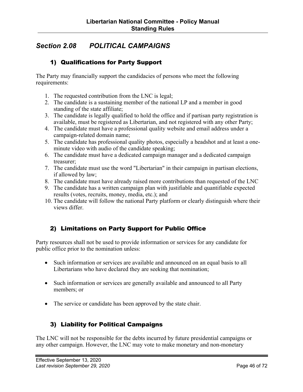## *Section 2.08 POLITICAL CAMPAIGNS*

### 1) Qualifications for Party Support

The Party may financially support the candidacies of persons who meet the following requirements:

- 1. The requested contribution from the LNC is legal;
- 2. The candidate is a sustaining member of the national LP and a member in good standing of the state affiliate;
- 3. The candidate is legally qualified to hold the office and if partisan party registration is available, must be registered as Libertarian, and not registered with any other Party;
- 4. The candidate must have a professional quality website and email address under a campaign-related domain name;
- 5. The candidate has professional quality photos, especially a headshot and at least a oneminute video with audio of the candidate speaking;
- 6. The candidate must have a dedicated campaign manager and a dedicated campaign treasurer;
- 7. The candidate must use the word "Libertarian" in their campaign in partisan elections, if allowed by law;
- 8. The candidate must have already raised more contributions than requested of the LNC
- 9. The candidate has a written campaign plan with justifiable and quantifiable expected results (votes, recruits, money, media, etc.); and
- 10. The candidate will follow the national Party platform or clearly distinguish where their views differ.

### 2) Limitations on Party Support for Public Office

Party resources shall not be used to provide information or services for any candidate for public office prior to the nomination unless:

- Such information or services are available and announced on an equal basis to all Libertarians who have declared they are seeking that nomination;
- Such information or services are generally available and announced to all Party members; or
- The service or candidate has been approved by the state chair.

## 3) Liability for Political Campaigns

The LNC will not be responsible for the debts incurred by future presidential campaigns or any other campaign. However, the LNC may vote to make monetary and non-monetary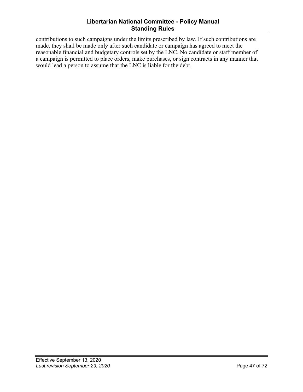#### **Libertarian National Committee - Policy Manual Standing Rules**

contributions to such campaigns under the limits prescribed by law. If such contributions are made, they shall be made only after such candidate or campaign has agreed to meet the reasonable financial and budgetary controls set by the LNC. No candidate or staff member of a campaign is permitted to place orders, make purchases, or sign contracts in any manner that would lead a person to assume that the LNC is liable for the debt.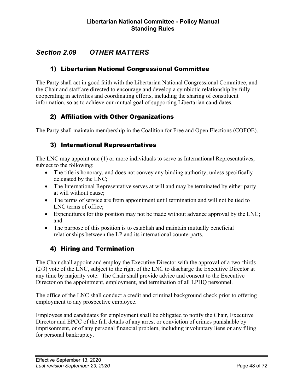## *Section 2.09 OTHER MATTERS*

### 1) Libertarian National Congressional Committee

The Party shall act in good faith with the Libertarian National Congressional Committee, and the Chair and staff are directed to encourage and develop a symbiotic relationship by fully cooperating in activities and coordinating efforts, including the sharing of constituent information, so as to achieve our mutual goal of supporting Libertarian candidates.

### 2) Affiliation with Other Organizations

The Party shall maintain membership in the Coalition for Free and Open Elections (COFOE).

### 3) International Representatives

The LNC may appoint one (1) or more individuals to serve as International Representatives, subject to the following:

- The title is honorary, and does not convey any binding authority, unless specifically delegated by the LNC;
- The International Representative serves at will and may be terminated by either party at will without cause;
- The terms of service are from appointment until termination and will not be tied to LNC terms of office;
- Expenditures for this position may not be made without advance approval by the LNC; and
- The purpose of this position is to establish and maintain mutually beneficial relationships between the LP and its international counterparts.

### 4) Hiring and Termination

The Chair shall appoint and employ the Executive Director with the approval of a two-thirds (2/3) vote of the LNC, subject to the right of the LNC to discharge the Executive Director at any time by majority vote. The Chair shall provide advice and consent to the Executive Director on the appointment, employment, and termination of all LPHQ personnel.

The office of the LNC shall conduct a credit and criminal background check prior to offering employment to any prospective employee.

Employees and candidates for employment shall be obligated to notify the Chair, Executive Director and EPCC of the full details of any arrest or conviction of crimes punishable by imprisonment, or of any personal financial problem, including involuntary liens or any filing for personal bankruptcy.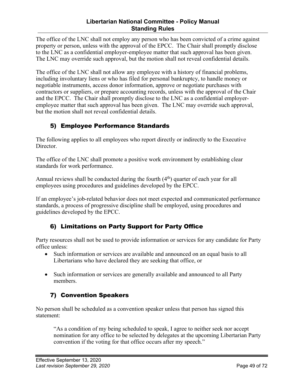#### **Libertarian National Committee - Policy Manual Standing Rules**

The office of the LNC shall not employ any person who has been convicted of a crime against property or person, unless with the approval of the EPCC. The Chair shall promptly disclose to the LNC as a confidential employer-employee matter that such approval has been given. The LNC may override such approval, but the motion shall not reveal confidential details.

The office of the LNC shall not allow any employee with a history of financial problems, including involuntary liens or who has filed for personal bankruptcy, to handle money or negotiable instruments, access donor information, approve or negotiate purchases with contractors or suppliers, or prepare accounting records, unless with the approval of the Chair and the EPCC. The Chair shall promptly disclose to the LNC as a confidential employeremployee matter that such approval has been given. The LNC may override such approval, but the motion shall not reveal confidential details.

## 5) Employee Performance Standards

The following applies to all employees who report directly or indirectly to the Executive Director.

The office of the LNC shall promote a positive work environment by establishing clear standards for work performance.

Annual reviews shall be conducted during the fourth  $(4<sup>th</sup>)$  quarter of each year for all employees using procedures and guidelines developed by the EPCC.

If an employee's job-related behavior does not meet expected and communicated performance standards, a process of progressive discipline shall be employed, using procedures and guidelines developed by the EPCC.

## 6) Limitations on Party Support for Party Office

Party resources shall not be used to provide information or services for any candidate for Party office unless:

- Such information or services are available and announced on an equal basis to all Libertarians who have declared they are seeking that office, or
- Such information or services are generally available and announced to all Party members.

## 7) Convention Speakers

No person shall be scheduled as a convention speaker unless that person has signed this statement:

"As a condition of my being scheduled to speak, I agree to neither seek nor accept nomination for any office to be selected by delegates at the upcoming Libertarian Party convention if the voting for that office occurs after my speech."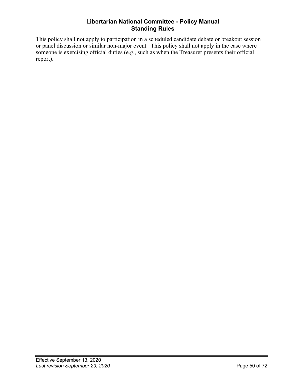This policy shall not apply to participation in a scheduled candidate debate or breakout session or panel discussion or similar non-major event. This policy shall not apply in the case where someone is exercising official duties (e.g., such as when the Treasurer presents their official report).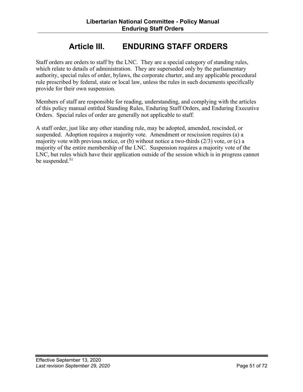# **Article III. ENDURING STAFF ORDERS**

Staff orders are orders to staff by the LNC. They are a special category of standing rules, which relate to details of administration. They are superseded only by the parliamentary authority, special rules of order, bylaws, the corporate charter, and any applicable procedural rule prescribed by federal, state or local law, unless the rules in such documents specifically provide for their own suspension.

Members of staff are responsible for reading, understanding, and complying with the articles of this policy manual entitled Standing Rules, Enduring Staff Orders, and Enduring Executive Orders. Special rules of order are generally not applicable to staff.

A staff order, just like any other standing rule, may be adopted, amended, rescinded, or suspended. Adoption requires a majority vote. Amendment or rescission requires (a) a majority vote with previous notice, or (b) without notice a two-thirds (2/3) vote, or (c) a majority of the entire membership of the LNC. Suspension requires a majority vote of the LNC, but rules which have their application outside of the session which is in progress cannot be suspended. 51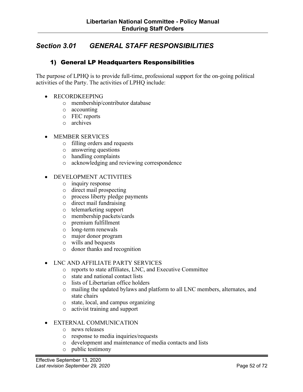## *Section 3.01 GENERAL STAFF RESPONSIBILITIES*

### 1) General LP Headquarters Responsibilities

The purpose of LPHQ is to provide full-time, professional support for the on-going political activities of the Party. The activities of LPHQ include:

- RECORDKEEPING
	- o membership/contributor database
	- o accounting
	- o FEC reports
	- o archives

#### • MEMBER SERVICES

- o filling orders and requests
- o answering questions
- o handling complaints
- o acknowledging and reviewing correspondence

#### • DEVELOPMENT ACTIVITIES

- o inquiry response
- o direct mail prospecting
- o process liberty pledge payments
- o direct mail fundraising
- o telemarketing support
- o membership packets/cards
- o premium fulfillment
- o long-term renewals
- o major donor program
- o wills and bequests
- o donor thanks and recognition

#### • LNC AND AFFILIATE PARTY SERVICES

- o reports to state affiliates, LNC, and Executive Committee
- o state and national contact lists
- o lists of Libertarian office holders
- o mailing the updated bylaws and platform to all LNC members, alternates, and state chairs
- o state, local, and campus organizing
- o activist training and support

#### • EXTERNAL COMMUNICATION

- o news releases
- o response to media inquiries/requests
- o development and maintenance of media contacts and lists
- o public testimony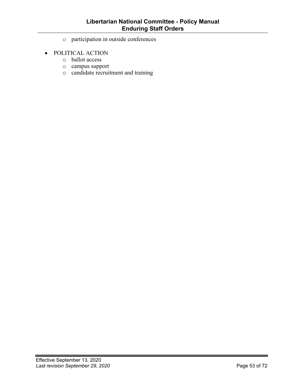- o participation in outside conferences
- POLITICAL ACTION
	- o ballot access
	- o campus support
	- o candidate recruitment and training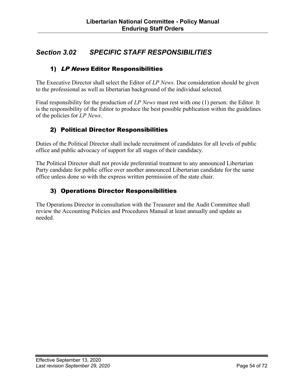## *Section 3.02 SPECIFIC STAFF RESPONSIBILITIES*

## 1) LP News Editor Responsibilities

The Executive Director shall select the Editor of *LP News*. Due consideration should be given to the professional as well as libertarian background of the individual selected.

Final responsibility for the production of *LP News* must rest with one (1) person: the Editor. It is the responsibility of the Editor to produce the best possible publication within the guidelines of the policies for *LP News*.

## 2) Political Director Responsibilities

Duties of the Political Director shall include recruitment of candidates for all levels of public office and public advocacy of support for all stages of their candidacy.

The Political Director shall not provide preferential treatment to any announced Libertarian Party candidate for public office over another announced Libertarian candidate for the same office unless done so with the express written permission of the state chair.

## 3) Operations Director Responsibilities

The Operations Director in consultation with the Treasurer and the Audit Committee shall review the Accounting Policies and Procedures Manual at least annually and update as needed.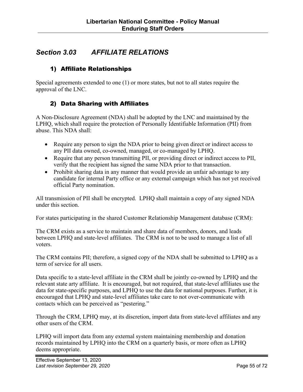## *Section 3.03 AFFILIATE RELATIONS*

### 1) Affiliate Relationships

Special agreements extended to one (1) or more states, but not to all states require the approval of the LNC.

### 2) Data Sharing with Affiliates

A Non-Disclosure Agreement (NDA) shall be adopted by the LNC and maintained by the LPHQ, which shall require the protection of Personally Identifiable Information (PII) from abuse. This NDA shall:

- Require any person to sign the NDA prior to being given direct or indirect access to any PII data owned, co-owned, managed, or co-managed by LPHQ.
- Require that any person transmitting PII, or providing direct or indirect access to PII, verify that the recipient has signed the same NDA prior to that transaction.
- Prohibit sharing data in any manner that would provide an unfair advantage to any candidate for internal Party office or any external campaign which has not yet received official Party nomination.

All transmission of PII shall be encrypted. LPHQ shall maintain a copy of any signed NDA under this section.

For states participating in the shared Customer Relationship Management database (CRM):

The CRM exists as a service to maintain and share data of members, donors, and leads between LPHQ and state-level affiliates. The CRM is not to be used to manage a list of all voters.

The CRM contains PII; therefore, a signed copy of the NDA shall be submitted to LPHQ as a term of service for all users.

Data specific to a state-level affiliate in the CRM shall be jointly co-owned by LPHQ and the relevant state arty affiliate. It is encouraged, but not required, that state-level affiliates use the data for state-specific purposes, and LPHQ to use the data for national purposes. Further, it is encouraged that LPHQ and state-level affiliates take care to not over-communicate with contacts which can be perceived as "pestering."

Through the CRM, LPHQ may, at its discretion, import data from state-level affiliates and any other users of the CRM.

LPHQ will import data from any external system maintaining membership and donation records maintained by LPHQ into the CRM on a quarterly basis, or more often as LPHQ deems appropriate.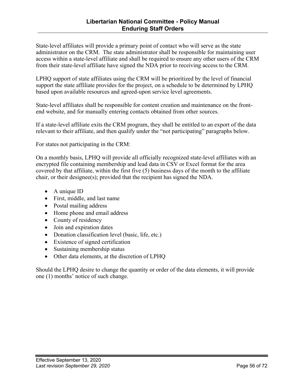State-level affiliates will provide a primary point of contact who will serve as the state administrator on the CRM. The state administrator shall be responsible for maintaining user access within a state-level affiliate and shall be required to ensure any other users of the CRM from their state-level affiliate have signed the NDA prior to receiving access to the CRM.

LPHQ support of state affiliates using the CRM will be prioritized by the level of financial support the state affiliate provides for the project, on a schedule to be determined by LPHQ based upon available resources and agreed-upon service level agreements.

State-level affiliates shall be responsible for content creation and maintenance on the frontend website, and for manually entering contacts obtained from other sources.

If a state-level affiliate exits the CRM program, they shall be entitled to an export of the data relevant to their affiliate, and then qualify under the "not participating" paragraphs below.

For states not participating in the CRM:

On a monthly basis, LPHQ will provide all officially recognized state-level affiliates with an encrypted file containing membership and lead data in CSV or Excel format for the area covered by that affiliate, within the first five (5) business days of the month to the affiliate chair, or their designee(s); provided that the recipient has signed the NDA.

- A unique ID
- First, middle, and last name
- Postal mailing address
- Home phone and email address
- County of residency
- Join and expiration dates
- Donation classification level (basic, life, etc.)
- Existence of signed certification
- Sustaining membership status
- Other data elements, at the discretion of LPHQ

Should the LPHQ desire to change the quantity or order of the data elements, it will provide one (1) months' notice of such change.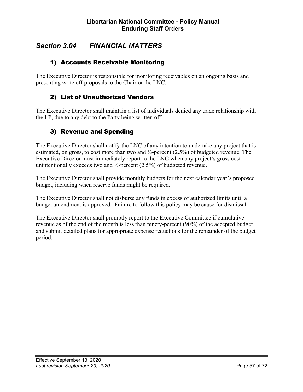## *Section 3.04 FINANCIAL MATTERS*

### 1) Accounts Receivable Monitoring

The Executive Director is responsible for monitoring receivables on an ongoing basis and presenting write off proposals to the Chair or the LNC.

### 2) List of Unauthorized Vendors

The Executive Director shall maintain a list of individuals denied any trade relationship with the LP, due to any debt to the Party being written off.

#### 3) Revenue and Spending

The Executive Director shall notify the LNC of any intention to undertake any project that is estimated, on gross, to cost more than two and ½-percent (2.5%) of budgeted revenue. The Executive Director must immediately report to the LNC when any project's gross cost unintentionally exceeds two and  $\frac{1}{2}$ -percent (2.5%) of budgeted revenue.

The Executive Director shall provide monthly budgets for the next calendar year's proposed budget, including when reserve funds might be required.

The Executive Director shall not disburse any funds in excess of authorized limits until a budget amendment is approved. Failure to follow this policy may be cause for dismissal.

The Executive Director shall promptly report to the Executive Committee if cumulative revenue as of the end of the month is less than ninety-percent (90%) of the accepted budget and submit detailed plans for appropriate expense reductions for the remainder of the budget period.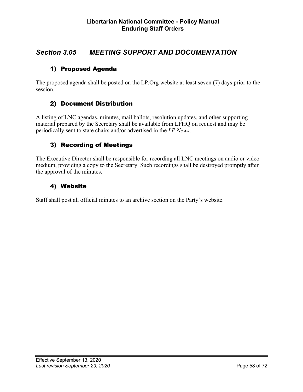## *Section 3.05 MEETING SUPPORT AND DOCUMENTATION*

### 1) Proposed Agenda

The proposed agenda shall be posted on the LP.Org website at least seven (7) days prior to the session.

### 2) Document Distribution

A listing of LNC agendas, minutes, mail ballots, resolution updates, and other supporting material prepared by the Secretary shall be available from LPHQ on request and may be periodically sent to state chairs and/or advertised in the *LP News*.

### 3) Recording of Meetings

The Executive Director shall be responsible for recording all LNC meetings on audio or video medium, providing a copy to the Secretary. Such recordings shall be destroyed promptly after the approval of the minutes.

### 4) Website

Staff shall post all official minutes to an archive section on the Party's website.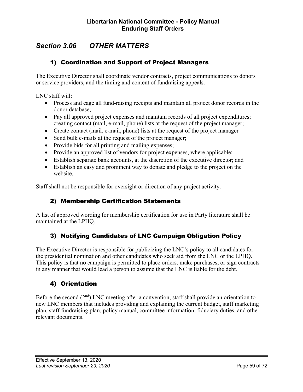## *Section 3.06 OTHER MATTERS*

### 1) Coordination and Support of Project Managers

The Executive Director shall coordinate vendor contracts, project communications to donors or service providers, and the timing and content of fundraising appeals.

LNC staff will:

- Process and cage all fund-raising receipts and maintain all project donor records in the donor database;
- Pay all approved project expenses and maintain records of all project expenditures; creating contact (mail, e-mail, phone) lists at the request of the project manager;
- Create contact (mail, e-mail, phone) lists at the request of the project manager
- Send bulk e-mails at the request of the project manager;
- Provide bids for all printing and mailing expenses;
- Provide an approved list of vendors for project expenses, where applicable;
- Establish separate bank accounts, at the discretion of the executive director; and
- Establish an easy and prominent way to donate and pledge to the project on the website.

Staff shall not be responsible for oversight or direction of any project activity.

### 2) Membership Certification Statements

A list of approved wording for membership certification for use in Party literature shall be maintained at the LPHQ.

### 3) Notifying Candidates of LNC Campaign Obligation Policy

The Executive Director is responsible for publicizing the LNC's policy to all candidates for the presidential nomination and other candidates who seek aid from the LNC or the LPHQ. This policy is that no campaign is permitted to place orders, make purchases, or sign contracts in any manner that would lead a person to assume that the LNC is liable for the debt.

### 4) Orientation

Before the second  $(2<sup>nd</sup>)$  LNC meeting after a convention, staff shall provide an orientation to new LNC members that includes providing and explaining the current budget, staff marketing plan, staff fundraising plan, policy manual, committee information, fiduciary duties, and other relevant documents.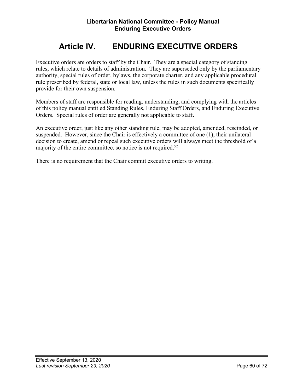# **Article IV. ENDURING EXECUTIVE ORDERS**

Executive orders are orders to staff by the Chair. They are a special category of standing rules, which relate to details of administration. They are superseded only by the parliamentary authority, special rules of order, bylaws, the corporate charter, and any applicable procedural rule prescribed by federal, state or local law, unless the rules in such documents specifically provide for their own suspension.

Members of staff are responsible for reading, understanding, and complying with the articles of this policy manual entitled Standing Rules, Enduring Staff Orders, and Enduring Executive Orders. Special rules of order are generally not applicable to staff.

An executive order, just like any other standing rule, may be adopted, amended, rescinded, or suspended. However, since the Chair is effectively a committee of one (1), their unilateral decision to create, amend or repeal such executive orders will always meet the threshold of a majority of the entire committee, so notice is not required.<sup>52</sup>

There is no requirement that the Chair commit executive orders to writing.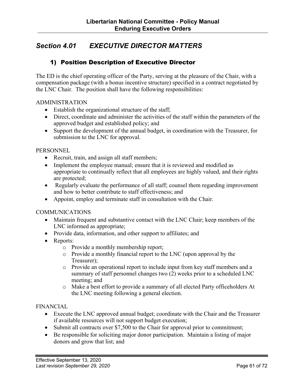## *Section 4.01 EXECUTIVE DIRECTOR MATTERS*

### 1) Position Description of Executive Director

The ED is the chief operating officer of the Party, serving at the pleasure of the Chair, with a compensation package (with a bonus incentive structure) specified in a contract negotiated by the LNC Chair. The position shall have the following responsibilities:

#### ADMINISTRATION

- Establish the organizational structure of the staff;
- Direct, coordinate and administer the activities of the staff within the parameters of the approved budget and established policy; and
- Support the development of the annual budget, in coordination with the Treasurer, for submission to the LNC for approval.

#### **PERSONNEL**

- Recruit, train, and assign all staff members;
- Implement the employee manual; ensure that it is reviewed and modified as appropriate to continually reflect that all employees are highly valued, and their rights are protected;
- Regularly evaluate the performance of all staff; counsel them regarding improvement and how to better contribute to staff effectiveness; and
- Appoint, employ and terminate staff in consultation with the Chair.

#### **COMMUNICATIONS**

- Maintain frequent and substantive contact with the LNC Chair; keep members of the LNC informed as appropriate;
- Provide data, information, and other support to affiliates; and
- Reports:
	- o Provide a monthly membership report;
	- o Provide a monthly financial report to the LNC (upon approval by the Treasurer);
	- o Provide an operational report to include input from key staff members and a summary of staff personnel changes two (2) weeks prior to a scheduled LNC meeting; and
	- o Make a best effort to provide a summary of all elected Party officeholders At the LNC meeting following a general election.

#### FINANCIAL

- Execute the LNC approved annual budget; coordinate with the Chair and the Treasurer if available resources will not support budget execution;
- Submit all contracts over \$7,500 to the Chair for approval prior to commitment;
- Be responsible for soliciting major donor participation. Maintain a listing of major donors and grow that list; and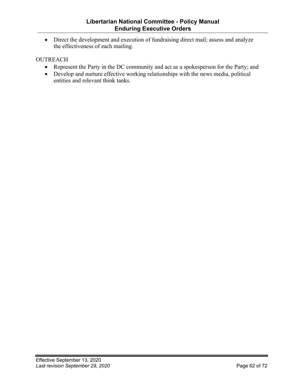• Direct the development and execution of fundraising direct mail; assess and analyze the effectiveness of each mailing.

#### OUTREACH

- Represent the Party in the DC community and act as a spokesperson for the Party; and
- Develop and nurture effective working relationships with the news media, political entities and relevant think tanks.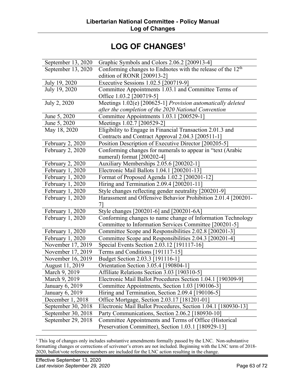# **LOG OF CHANGES1**

| September 13, 2020             | Graphic Symbols and Colors 2.06.2 [200913-4]                            |
|--------------------------------|-------------------------------------------------------------------------|
| September 13, 2020             | Conforming changes to Endnotes with the release of the 12 <sup>th</sup> |
|                                | edition of RONR [200913-2]                                              |
| July 19, 2020                  | Executive Sessions 1.02.5 [200719-9]                                    |
| July 19, 2020                  | Committee Appointments 1.03.1 and Committee Terms of                    |
|                                | Office 1.03.2 [200719-5]                                                |
| July 2, 2020                   | Meetings 1.02(e) [200625-1] Provision automatically deleted             |
|                                | after the completion of the 2020 National Convention                    |
| June 5, 2020                   | Committee Appointments 1.03.1 [200529-1]                                |
| June 5, 2020                   | Meetings 1.02.7 [200529-2]                                              |
| May 18, 2020                   | Eligibility to Engage in Financial Transaction 2.01.3 and               |
|                                | Contracts and Contract Approval 2.04.3 [200511-1]                       |
| February 2, 2020               | Position Description of Executive Director [200205-5]                   |
| February 2, 2020               | Conforming changes for numerals to appear in "text (Arabic              |
|                                | numeral) format [200202-4]                                              |
| February 2, 2020               | Auxiliary Memberships 2.05.6 [200202-1]                                 |
| February 1, 2020               | Electronic Mail Ballots 1.04.1 [200201-13]                              |
| February 1, 2020               | Format of Proposed Agenda 1.02.2 [200201-12]                            |
| February 1, 2020               | Hiring and Termination 2.09.4 [200201-11]                               |
| February 1, 2020               | Style changes reflecting gender neutrality [200201-9]                   |
| February 1, 2020               | Harassment and Offensive Behavior Prohibition 2.01.4 [200201-           |
|                                |                                                                         |
| February 1, 2020               | Style changes [200201-6] and [200201-6A]                                |
| February 1, 2020               | Conforming changes to name change of Information Technology             |
|                                | Committee to Information Services Committee [200201-5]                  |
| February 1, 2020               | Committee Scope and Responsibilities 2.02.8 [200201-3]                  |
| February 1, 2020               | Committee Scope and Responsibilities 2.04.3 [200201-4]                  |
| November $17, 20\overline{19}$ | Special Events Section 2.03.12 [191117-16]                              |
| November 17, 2019              | Terms and Conditions [191117-15]                                        |
| November 16, 2019              | Budget Section 2.03.3 [191116-1]                                        |
| August 11, 2019                | Orientation Section 3.05.4 [190804-1]                                   |
| March 9, 2019                  | Affiliate Relations Section 3.03 [190310-5]                             |
| March 9, 2019                  | Electronic Mail Ballot Procedures Section 1.04.1 [190309-9]             |
| January 6, 2019                | Committee Appointments, Section 1.03 [190106-3]                         |
| January 6, 2019                | Hiring and Termination, Section 2.09.4 [190106-5]                       |
| December 1, 2018               | Office Mortgage, Section 2.03.17 [181201-01]                            |
| September 30, 2018             | Electronic Mail Ballot Procedures, Section 1.04.1 [180930-13]           |
| September 30, 2018             | Party Communications, Section 2.06.2 [180930-10]                        |
| September 29, 2018             | Committee Appointments and Terms of Office (Historical                  |
|                                | Preservation Committee), Section 1.03.1 [180929-13]                     |

<sup>&</sup>lt;sup>1</sup> This log of changes only includes substantive amendments formally passed by the LNC. Non-substantive formatting changes or corrections of scrivener's errors are not included. Beginning with the LNC term of 2018- 2020, ballot/vote reference numbers are included for the LNC action resulting in the change.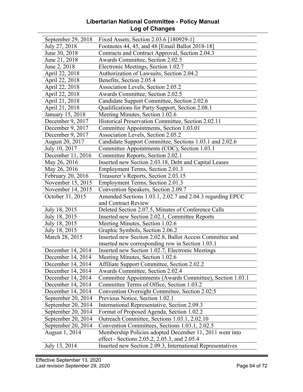#### **Libertarian National Committee - Policy Manual Log of Changes**

| September 29, 2018         | Fixed Assets, Section 2.03.6 [180929-1]                    |
|----------------------------|------------------------------------------------------------|
| July 27, 2018              | Footnotes 44, 45, and 48 [Email Ballot 2018-18]            |
| June 30, 2018              | Contracts and Contract Approval, Section 2.04.3            |
| June 21, 2018              | Awards Committee, Section 2.02.5                           |
| June 2, 2018               | Electronic Meetings, Section 1.02.7                        |
| April 22, 2018             | Authorization of Lawsuits, Section 2.04.2                  |
| April 22, 2018             | Benefits, Section 2.05.4                                   |
| April 22, 2018             | Association Levels, Section 2.05.2                         |
| April 22, 2018             | <b>Awards Committee, Section 2.02.5</b>                    |
| April 21, 2018             | Candidate Support Committee, Section 2.02.6                |
| April 21, 2018             | Qualifications for Party Support, Section 2.08.1           |
| January 15, 2018           | Meeting Minutes, Section 1.02.6                            |
| December 9, 2017           | Historical Preservation Committee, Section 2.02.11         |
| December 9, 2017           | Committee Appointments, Section 1.03.01                    |
| December 9, 2017           | Association Levels, Section 2.05.2                         |
| <b>August 20, 2017</b>     | Candidate Support Committee, Sections 1.03.1 and 2.02.6    |
| July 10, 2017              | Committee Appointments (COC), Section 1.03.1               |
| December 11, 2016          | Committee Reports, Section 2.02.1                          |
| May 26, 2016               | Inserted new Section 2.03.18, Debt and Capital Leases      |
| May 26, 2016               | Employment Terms, Section 2.01.3                           |
| February 20, 2016          | Treasurer's Reports, Section 2.03.15                       |
| November 15, 2015          | Employment Terms, Section 2.01.3                           |
| November 14, 2015          | Convention Speakers, Section 2.09.7                        |
| October 31, 2015           | Amended Sections 1.03.1, 2.02.7 and 2.04.3 regarding EPCC  |
|                            | and Contract Review                                        |
| July 18, $20\overline{15}$ | Deleted Section 2.07.5, Minutes of Conference Calls        |
| July 18, 2015              | Inserted new Section 2.02.1, Committee Reports             |
| July 18, 2015              | Meeting Minutes, Section 1.02.6                            |
| July 18, 2015              | Graphic Symbols, Section 2.06.2                            |
| March 28, 2015             | Inserted new Section 2.02.8, Ballot Access Committee and   |
|                            | inserted new corresponding row in Section 1.03.1           |
| December 14, 2014          | Inserted new Section 1.02.7, Electronic Meetings           |
| December 14, 2014          | Meeting Minutes, Section 1.02.6                            |
| December 14, 2014          | <b>Affiliate Support Committee, Section 2.02.2</b>         |
| December 14, 2014          | Awards Committee, Section 2.02.4                           |
| December 14, 2014          | Committee Appointments (Awards Committee), Section 1.03.1  |
| December 14, 2014          | Committee Terms of Office, Section 1.03.2                  |
| December 14, 2014          | Convention Oversight Committee, Section 2.02.5             |
| September 20, 2014         | Previous Notice, Section 1.02.1                            |
| September 20, 2014         | International Representative, Section 2.09.3               |
| September 20, 2014         | Format of Proposed Agenda, Section 1.02.2                  |
| September 20, 2014         | Outreach Committee, Sections 1.03.1, 2.02.10               |
| September 20, 2014         | Convention Committees, Sections 1.03.1, 2.02.5             |
| August 1, 2014             | Membership Policies adopted December 11, 2011 went into    |
|                            | effect - Sections 2.05.2, 2.05.3, and 2.05.4               |
| July 13, 2014              | Inserted new Section 2.09.3, International Representatives |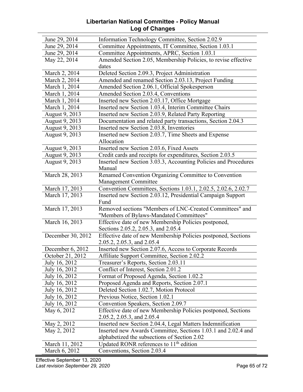#### **Libertarian National Committee - Policy Manual Log of Changes**

| June 29, 2014              | Information Technology Committee, Section 2.02.9                |
|----------------------------|-----------------------------------------------------------------|
| June 29, 2014              | Committee Appointments, IT Committee, Section 1.03.1            |
| June 29, 2014              | Committee Appointments, APRC, Section 1.03.1                    |
| May 22, 2014               | Amended Section 2.05, Membership Policies, to revise effective  |
|                            | dates                                                           |
| March 2, 2014              | Deleted Section 2.09.3, Project Administration                  |
| March 2, 2014              | Amended and renamed Section 2.03.13, Project Funding            |
| March 1, 2014              | Amended Section 2.06.1, Official Spokesperson                   |
| March 1, $20\overline{14}$ | Amended Section 2.03.4, Conventions                             |
| March 1, 2014              | Inserted new Section 2.03.17, Office Mortgage                   |
| March 1, 2014              | Inserted new Section 1.03.4, Interim Committee Chairs           |
| August 9, 2013             | Inserted new Section 2.03.9, Related Party Reporting            |
| August 9, 2013             | Documentation and related party transactions, Section 2.04.3    |
| August 9, 2013             | Inserted new Section 2.03.8, Inventories                        |
| August 9, 2013             | Inserted new Section 2.03.7, Time Sheets and Expense            |
|                            | Allocation                                                      |
| August 9, 2013             | Inserted new Section 2.03.6, Fixed Assets                       |
| August 9, 2013             | Credit cards and receipts for expenditures, Section 2.03.5      |
| August 9, 2013             | Inserted new Section 3.03.3, Accounting Policies and Procedures |
|                            | Manual                                                          |
| March 28, 2013             | Renamed Convention Organizing Committee to Convention           |
|                            | Management Committee                                            |
| March 17, 2013             | Convention Committees, Sections 1.03.1, 2.02.5, 2.02.6, 2.02.7  |
| March 17, 2013             | Inserted new Section 2.03.12, Presidential Campaign Support     |
|                            | Fund                                                            |
| March 17, 2013             | Removed sections "Members of LNC-Created Committees" and        |
|                            | "Members of Bylaws-Mandated Committees"                         |
| March 16, 2013             | Effective date of new Membership Policies postponed,            |
|                            | Sections 2.05.2, 2.05.3, and 2.05.4                             |
| December 30, 2012          | Effective date of new Membership Policies postponed, Sections   |
|                            | 2.05.2, 2.05.3, and 2.05.4                                      |
| December 6, 2012           | Inserted new Section 2.07.6, Access to Corporate Records        |
| October 21, 2012           | <b>Affiliate Support Committee, Section 2.02.2</b>              |
| July 16, 2012              | Treasurer's Reports, Section 2.03.11                            |
| July 16, 2012              | Conflict of Interest, Section 2.01.2                            |
| July 16, 2012              | Format of Proposed Agenda, Section 1.02.2                       |
| July 16, 2012              | Proposed Agenda and Reports, Section 2.07.1                     |
| July 16, 2012              | Deleted Section 1.02.7, Motion Protocol                         |
| July 16, 2012              | Previous Notice, Section 1.02.1                                 |
| July 16, 2012              | Convention Speakers, Section 2.09.7                             |
| May 6, 2012                | Effective date of new Membership Policies postponed, Sections   |
|                            | 2.05.2, 2.05.3, and 2.05.4                                      |
| May 2, 2012                | Inserted new Section 2.04.4, Legal Matters Indemnification      |
| May 2, 2012                | Inserted new Awards Committee, Sections 1.03.1 and 2.02.4 and   |
|                            | alphabetized the subsections of Section 2.02                    |
| March 11, 2012             | Updated RONR references to $11th$ edition                       |
| March 6, 2012              | Conventions, Section 2.03.4                                     |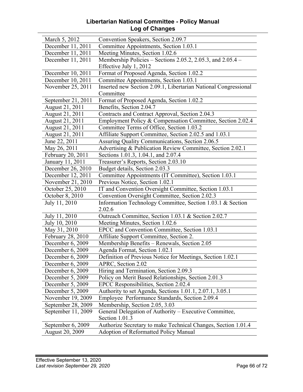#### **Libertarian National Committee - Policy Manual Log of Changes**

| March 5, 2012          | Convention Speakers, Section 2.09.7                             |
|------------------------|-----------------------------------------------------------------|
| December 11, 2011      | Committee Appointments, Section 1.03.1                          |
| December 11, 2011      | Meeting Minutes, Section 1.02.6                                 |
| December 11, 2011      | Membership Policies – Sections 2.05.2, 2.05.3, and $2.05.4$ –   |
|                        | Effective July 1, 2012                                          |
| December 10, 2011      | Format of Proposed Agenda, Section 1.02.2                       |
| December 10, 2011      | Committee Appointments, Section 1.03.1                          |
| November 25, 2011      | Inserted new Section 2.09.1, Libertarian National Congressional |
|                        | Committee                                                       |
| September 21, 2011     | Format of Proposed Agenda, Section 1.02.2                       |
| August 21, 2011        | Benefits, Section 2.04.7                                        |
| August 21, 2011        | Contracts and Contract Approval, Section 2.04.3                 |
| August 21, 2011        | Employment Policy & Compensation Committee, Section 2.02.4      |
| August 21, 2011        | Committee Terms of Office, Section 1.03.2                       |
| August 21, 2011        | Affiliate Support Committee, Section 2.02.5 and 1.03.1          |
| June 22, 2011          | Assuring Quality Communications, Section 2.06.5                 |
| May 26, 2011           | Advertising & Publication Review Committee, Section 2.02.1      |
| February 20, 2011      | Sections 1.01.3, 1.04.1, and 2.07.4                             |
| January 11, 2011       | Treasurer's Reports, Section 2.03.10                            |
| December 26, 2010      | Budget details, Section 2.03.3                                  |
| December 12, 2011      | Committee Appointments (IT Committee), Section 1.03.1           |
| November 21, 2010      | Previous Notice, Section 1.02.1                                 |
| October 25, 2010       | IT and Convention Oversight Committee, Section 1.03.1           |
| October 8, 2010        | Convention Oversight Committee, Section 2.02.3                  |
| July 11, 2010          | Information Technology Committee, Section 1.03.1 & Section      |
|                        | 2.02.6                                                          |
| July 11, 2010          | Outreach Committee, Section 1.03.1 & Section 2.02.7             |
| July 10, 2010          | Meeting Minutes, Section 1.02.6                                 |
| May 31, 2010           | EPCC and Convention Committee, Section 1.03.1                   |
| February 28, 2010      | Affiliate Support Committee, Section 2.                         |
| December 6, 2009       | Membership Benefits - Renewals, Section 2.05                    |
| December 6, 2009       | Agenda Format, Section 1.02.1                                   |
| December 6, 2009       | Definition of Previous Notice for Meetings, Section 1.02.1      |
| December 6, 2009       | APRC, Section 2.02                                              |
| December 6, 2009       | Hiring and Termination, Section 2.09.3                          |
| December 5, 2009       | Policy on Merit Based Relationships, Section 2.01.3             |
| December 5, 2009       | EPCC Responsibilities, Section 2.02.4                           |
| December 5, 2009       | Authority to set Agenda, Sections 1.01.1, 2.07.1, 3.05.1        |
| November 19, 2009      | Employee Performance Standards, Section 2.09.4                  |
| September 28, 2009     | Membership, Section 2.05, 3.03                                  |
| September 11, 2009     | General Delegation of Authority - Executive Committee,          |
|                        | Section 1.01.3                                                  |
| September 6, 2009      | Authorize Secretary to make Technical Changes, Section 1.01.4   |
| <b>August 20, 2009</b> | <b>Adoption of Reformatted Policy Manual</b>                    |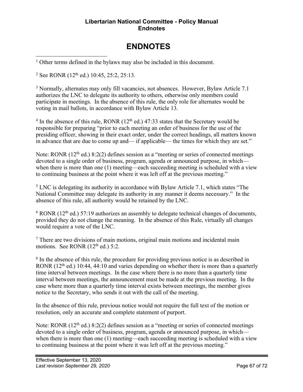#### **Libertarian National Committee - Policy Manual Endnotes**

# **ENDNOTES**

<sup>1</sup> Other terms defined in the bylaws may also be included in this document.

<sup>2</sup> See RONR  $(12<sup>th</sup>$  ed.) 10:45, 25:2, 25:13.

<sup>3</sup> Normally, alternates may only fill vacancies, not absences. However, Bylaw Article 7.1 authorizes the LNC to delegate its authority to others, otherwise only members could participate in meetings. In the absence of this rule, the only role for alternates would be voting in mail ballots, in accordance with Bylaw Article 13.

 $4 \text{ In the absence of this rule, RONR } (12^{\text{th}} \text{ ed.})$  47:33 states that the Secretary would be responsible for preparing "prior to each meeting an order of business for the use of the presiding officer, showing in their exact order, under the correct headings, all matters known in advance that are due to come up and— if applicable— the times for which they are set."

Note: RONR  $(12<sup>th</sup>$  ed.) 8:2(2) defines session as a "meeting or series of connected meetings devoted to a single order of business, program, agenda or announced purpose, in which when there is more than one (1) meeting—each succeeding meeting is scheduled with a view to continuing business at the point where it was left off at the previous meeting."

<sup>5</sup> LNC is delegating its authority in accordance with Bylaw Article 7.1, which states "The National Committee may delegate its authority in any manner it deems necessary." In the absence of this rule, all authority would be retained by the LNC.

 $6$  RONR (12<sup>th</sup> ed.) 57:19 authorizes an assembly to delegate technical changes of documents, provided they do not change the meaning. In the absence of this Rule, virtually all changes would require a vote of the LNC.

<sup>7</sup> There are two divisions of main motions, original main motions and incidental main motions. See RONR  $(12<sup>th</sup>$  ed.) 5:2.

<sup>8</sup> In the absence of this rule, the procedure for providing previous notice is as described in RONR  $(12<sup>th</sup>$  ed.) 10:44, 44:10 and varies depending on whether there is more than a quarterly time interval between meetings. In the case where there is no more than a quarterly time interval between meetings, the announcement must be made at the previous meeting. In the case where more than a quarterly time interval exists between meetings, the member gives notice to the Secretary, who sends it out with the call of the meeting.

In the absence of this rule, previous notice would not require the full text of the motion or resolution, only an accurate and complete statement of purport.

Note: RONR  $(12<sup>th</sup>$  ed.) 8:2(2) defines session as a "meeting or series of connected meetings devoted to a single order of business, program, agenda or announced purpose, in which when there is more than one (1) meeting—each succeeding meeting is scheduled with a view to continuing business at the point where it was left off at the previous meeting."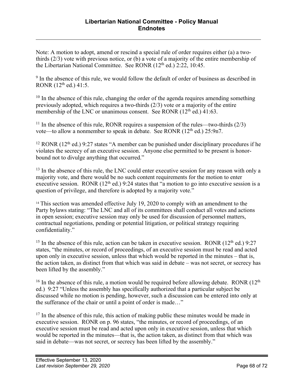Note: A motion to adopt, amend or rescind a special rule of order requires either (a) a twothirds (2/3) vote with previous notice, or (b) a vote of a majority of the entire membership of the Libertarian National Committee. See RONR (12<sup>th</sup> ed.) 2:22, 10:45.

<sup>9</sup> In the absence of this rule, we would follow the default of order of business as described in RONR (12th ed.) 41:5.

 $10$  In the absence of this rule, changing the order of the agenda requires amending something previously adopted, which requires a two-thirds (2/3) vote or a majority of the entire membership of the LNC or unanimous consent. See RONR  $(12<sup>th</sup>$  ed.) 41:63.

<sup>11</sup> In the absence of this rule, RONR requires a suspension of the rules—two-thirds  $(2/3)$ vote—to allow a nonmember to speak in debate. See RONR  $(12<sup>th</sup>$  ed.) 25:9n7.

<sup>12</sup> RONR ( $12<sup>th</sup>$  ed.) 9:27 states "A member can be punished under disciplinary procedures if he violates the secrecy of an executive session. Anyone else permitted to be present is honorbound not to divulge anything that occurred."

<sup>13</sup> In the absence of this rule, the LNC could enter executive session for any reason with only a majority vote, and there would be no such content requirements for the motion to enter executive session. RONR  $(12<sup>th</sup>$  ed.) 9:24 states that "a motion to go into executive session is a question of privilege, and therefore is adopted by a majority vote."

<sup>14</sup> This section was amended effective July 19, 2020 to comply with an amendment to the Party bylaws stating: "The LNC and all of its committees shall conduct all votes and actions in open session; executive session may only be used for discussion of personnel matters, contractual negotiations, pending or potential litigation, or political strategy requiring confidentiality."

<sup>15</sup> In the absence of this rule, action can be taken in executive session. RONR  $(12<sup>th</sup>$  ed.) 9:27 states, "the minutes, or record of proceedings, of an executive session must be read and acted upon only in executive session, unless that which would be reported in the minutes – that is, the action taken, as distinct from that which was said in debate – was not secret, or secrecy has been lifted by the assembly."

<sup>16</sup> In the absence of this rule, a motion would be required before allowing debate. RONR  $(12<sup>th</sup>$ ed.) 9:27 "Unless the assembly has specifically authorized that a particular subject be discussed while no motion is pending, however, such a discussion can be entered into only at the sufferance of the chair or until a point of order is made…"

 $17$  In the absence of this rule, this action of making public these minutes would be made in executive session. RONR on p. 96 states, "the minutes, or record of proceedings, of an executive session must be read and acted upon only in executive session, unless that which would be reported in the minutes—that is, the action taken, as distinct from that which was said in debate—was not secret, or secrecy has been lifted by the assembly."

 $\overline{a}$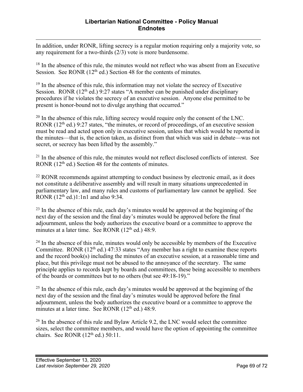$\overline{a}$ In addition, under RONR, lifting secrecy is a regular motion requiring only a majority vote, so any requirement for a two-thirds (2/3) vote is more burdensome.

 $18$  In the absence of this rule, the minutes would not reflect who was absent from an Executive Session. See RONR  $(12<sup>th</sup>$  ed.) Section 48 for the contents of minutes.

 $19$  In the absence of this rule, this information may not violate the secrecy of Executive Session. RONR  $(12<sup>th</sup>$  ed.) 9:27 states "A member can be punished under disciplinary procedures if he violates the secrecy of an executive session. Anyone else permitted to be present is honor-bound not to divulge anything that occurred."

 $20$  In the absence of this rule, lifting secrecy would require only the consent of the LNC. RONR  $(12<sup>th</sup>$  ed.) 9:27 states, "the minutes, or record of proceedings, of an executive session must be read and acted upon only in executive session, unless that which would be reported in the minutes—that is, the action taken, as distinct from that which was said in debate—was not secret, or secrecy has been lifted by the assembly."

<sup>21</sup> In the absence of this rule, the minutes would not reflect disclosed conflicts of interest. See RONR (12<sup>th</sup> ed.) Section 48 for the contents of minutes.

 $22$  RONR recommends against attempting to conduct business by electronic email, as it does not constitute a deliberative assembly and will result in many situations unprecedented in parliamentary law, and many rules and customs of parliamentary law cannot be applied. See RONR  $(12<sup>th</sup>$  ed.)1:1n1 and also 9:34.

 $^{23}$  In the absence of this rule, each day's minutes would be approved at the beginning of the next day of the session and the final day's minutes would be approved before the final adjournment, unless the body authorizes the executive board or a committee to approve the minutes at a later time. See RONR  $(12<sup>th</sup>$  ed.) 48:9.

 $24$  In the absence of this rule, minutes would only be accessible by members of the Executive Committee. RONR  $(12<sup>th</sup>$  ed.) 47:33 states "Any member has a right to examine these reports and the record book(s) including the minutes of an executive session, at a reasonable time and place, but this privilege must not be abused to the annoyance of the secretary. The same principle applies to records kept by boards and committees, these being accessible to members of the boards or committees but to no others (but see 49:18-19)."

 $25$  In the absence of this rule, each day's minutes would be approved at the beginning of the next day of the session and the final day's minutes would be approved before the final adjournment, unless the body authorizes the executive board or a committee to approve the minutes at a later time. See RONR  $(12<sup>th</sup>$  ed.) 48:9.

<sup>26</sup> In the absence of this rule and Bylaw Article 9.2, the LNC would select the committee sizes, select the committee members, and would have the option of appointing the committee chairs. See RONR  $(12<sup>th</sup>$  ed.) 50:11.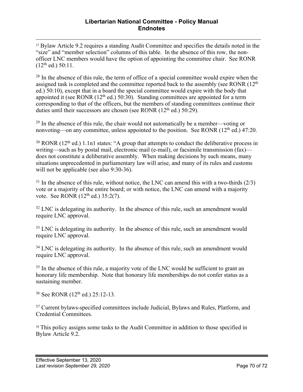<sup>27</sup> Bylaw Article 9.2 requires a standing Audit Committee and specifies the details noted in the "size" and "member selection" columns of this table. In the absence of this row, the nonofficer LNC members would have the option of appointing the committee chair. See RONR  $(12<sup>th</sup>$  ed.) 50:11.

 $28$  In the absence of this rule, the term of office of a special committee would expire when the assigned task is completed and the committee reported back to the assembly (see RONR  $(12<sup>th</sup>$ ed.) 50:10), except that in a board the special committee would expire with the body that appointed it (see RONR  $(12<sup>th</sup>$  ed.) 50:30). Standing committees are appointed for a term corresponding to that of the officers, but the members of standing committees continue their duties until their successors are chosen (see RONR  $(12<sup>th</sup>$  ed.) 50:29).

 $29$  In the absence of this rule, the chair would not automatically be a member—voting or nonvoting—on any committee, unless appointed to the position. See RONR  $(12<sup>th</sup>$  ed.) 47:20.

 $30$  RONR (12<sup>th</sup> ed.) 1.1n1 states: "A group that attempts to conduct the deliberative process in writing—such as by postal mail, electronic mail (e-mail), or facsimile transmission (fax) does not constitute a deliberative assembly. When making decisions by such means, many situations unprecedented in parliamentary law will arise, and many of its rules and customs will not be applicable (see also 9:30-36).

 $31$  In the absence of this rule, without notice, the LNC can amend this with a two-thirds (2/3) vote or a majority of the entire board; or with notice, the LNC can amend with a majority vote. See RONR  $(12^{th}$  ed.) 35:2(7).

 $32$  LNC is delegating its authority. In the absence of this rule, such an amendment would require LNC approval.

<sup>33</sup> LNC is delegating its authority. In the absence of this rule, such an amendment would require LNC approval.

 $34$  LNC is delegating its authority. In the absence of this rule, such an amendment would require LNC approval.

<sup>35</sup> In the absence of this rule, a majority vote of the LNC would be sufficient to grant an honorary life membership. Note that honorary life memberships do not confer status as a sustaining member.

<sup>36</sup> See RONR (12th ed.) 25:12-13.

<sup>37</sup> Current bylaws-specified committees include Judicial, Bylaws and Rules, Platform, and Credential Committees.

<sup>38</sup> This policy assigns some tasks to the Audit Committee in addition to those specified in Bylaw Article 9.2.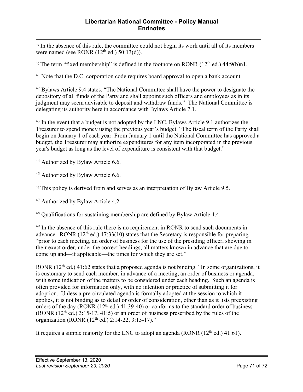<sup>39</sup> In the absence of this rule, the committee could not begin its work until all of its members were named (see RONR  $(12<sup>th</sup>$  ed.) 50:13(d)).

<sup>40</sup> The term "fixed membership" is defined in the footnote on RONR  $(12<sup>th</sup>$  ed.) 44:9(b)n1.

<sup>41</sup> Note that the D.C. corporation code requires board approval to open a bank account.

<sup>42</sup> Bylaws Article 9.4 states, "The National Committee shall have the power to designate the depository of all funds of the Party and shall appoint such officers and employees as in its judgment may seem advisable to deposit and withdraw funds." The National Committee is delegating its authority here in accordance with Bylaws Article 7.1.

<sup>43</sup> In the event that a budget is not adopted by the LNC, Bylaws Article 9.1 authorizes the Treasurer to spend money using the previous year's budget. "The fiscal term of the Party shall begin on January 1 of each year. From January 1 until the National Committee has approved a budget, the Treasurer may authorize expenditures for any item incorporated in the previous year's budget as long as the level of expenditure is consistent with that budget."

<sup>44</sup> Authorized by Bylaw Article 6.6.

<sup>45</sup> Authorized by Bylaw Article 6.6.

<sup>46</sup> This policy is derived from and serves as an interpretation of Bylaw Article 9.5.

<sup>47</sup> Authorized by Bylaw Article 4.2.

<sup>48</sup> Qualifications for sustaining membership are defined by Bylaw Article 4.4.

<sup>49</sup> In the absence of this rule there is no requirement in RONR to send such documents in advance. RONR  $(12<sup>th</sup>$  ed.) 47:33(10) states that the Secretary is responsible for preparing "prior to each meeting, an order of business for the use of the presiding officer, showing in their exact order, under the correct headings, all matters known in advance that are due to come up and—if applicable—the times for which they are set."

RONR  $(12<sup>th</sup>$  ed.) 41:62 states that a proposed agenda is not binding. "In some organizations, it is customary to send each member, in advance of a meeting, an order of business or agenda, with some indication of the matters to be considered under each heading. Such an agenda is often provided for information only, with no intention or practice of submitting it for adoption. Unless a pre-circulated agenda is formally adopted at the session to which it applies, it is not binding as to detail or order of consideration, other than as it lists preexisting orders of the day (RONR  $(12<sup>th</sup>$  ed.) 41:39-40) or conforms to the standard order of business (RONR  $(12<sup>th</sup>$  ed.) 3:15-17, 41:5) or an order of business prescribed by the rules of the organization (RONR  $(12<sup>th</sup>$  ed.)  $2:14-22, 3:15-17$ ."

It requires a simple majority for the LNC to adopt an agenda (RONR  $(12<sup>th</sup>$  ed.) 41:61).